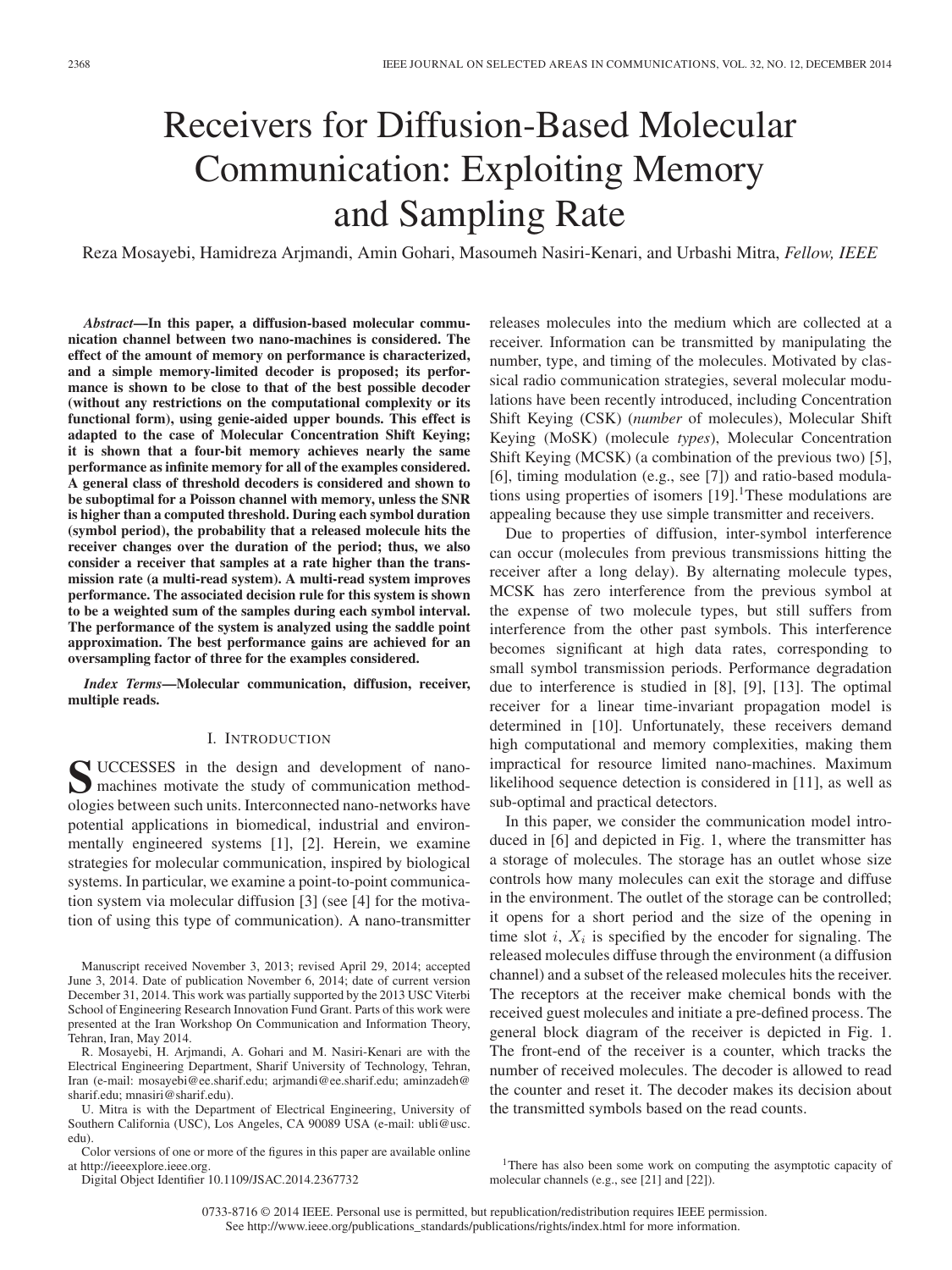# Receivers for Diffusion-Based Molecular Communication: Exploiting Memory and Sampling Rate

Reza Mosayebi, Hamidreza Arjmandi, Amin Gohari, Masoumeh Nasiri-Kenari, and Urbashi Mitra, *Fellow, IEEE*

*Abstract***—In this paper, a diffusion-based molecular communication channel between two nano-machines is considered. The effect of the amount of memory on performance is characterized, and a simple memory-limited decoder is proposed; its performance is shown to be close to that of the best possible decoder (without any restrictions on the computational complexity or its functional form), using genie-aided upper bounds. This effect is adapted to the case of Molecular Concentration Shift Keying; it is shown that a four-bit memory achieves nearly the same performance as infinite memory for all of the examples considered. A general class of threshold decoders is considered and shown to be suboptimal for a Poisson channel with memory, unless the SNR is higher than a computed threshold. During each symbol duration (symbol period), the probability that a released molecule hits the receiver changes over the duration of the period; thus, we also consider a receiver that samples at a rate higher than the transmission rate (a multi-read system). A multi-read system improves performance. The associated decision rule for this system is shown to be a weighted sum of the samples during each symbol interval. The performance of the system is analyzed using the saddle point approximation. The best performance gains are achieved for an oversampling factor of three for the examples considered.**

*Index Terms***—Molecular communication, diffusion, receiver, multiple reads.**

## I. INTRODUCTION

S UCCESSES in the design and development of nano-<br>
machines motivate the study of communication methodologies between such units. Interconnected nano-networks have potential applications in biomedical, industrial and environmentally engineered systems [1], [2]. Herein, we examine strategies for molecular communication, inspired by biological systems. In particular, we examine a point-to-point communication system via molecular diffusion [3] (see [4] for the motivation of using this type of communication). A nano-transmitter

Manuscript received November 3, 2013; revised April 29, 2014; accepted June 3, 2014. Date of publication November 6, 2014; date of current version December 31, 2014. This work was partially supported by the 2013 USC Viterbi School of Engineering Research Innovation Fund Grant. Parts of this work were presented at the Iran Workshop On Communication and Information Theory, Tehran, Iran, May 2014.

R. Mosayebi, H. Arjmandi, A. Gohari and M. Nasiri-Kenari are with the Electrical Engineering Department, Sharif University of Technology, Tehran, Iran (e-mail: mosayebi@ee.sharif.edu; arjmandi@ee.sharif.edu; aminzadeh@ sharif.edu; mnasiri@sharif.edu).

U. Mitra is with the Department of Electrical Engineering, University of Southern California (USC), Los Angeles, CA 90089 USA (e-mail: ubli@usc. edu).

Color versions of one or more of the figures in this paper are available online at http://ieeexplore.ieee.org.

Digital Object Identifier 10.1109/JSAC.2014.2367732

releases molecules into the medium which are collected at a receiver. Information can be transmitted by manipulating the number, type, and timing of the molecules. Motivated by classical radio communication strategies, several molecular modulations have been recently introduced, including Concentration Shift Keying (CSK) (*number* of molecules), Molecular Shift Keying (MoSK) (molecule *types*), Molecular Concentration Shift Keying (MCSK) (a combination of the previous two) [5], [6], timing modulation (e.g., see [7]) and ratio-based modulations using properties of isomers  $[19]$ .<sup>1</sup>These modulations are appealing because they use simple transmitter and receivers.

Due to properties of diffusion, inter-symbol interference can occur (molecules from previous transmissions hitting the receiver after a long delay). By alternating molecule types, MCSK has zero interference from the previous symbol at the expense of two molecule types, but still suffers from interference from the other past symbols. This interference becomes significant at high data rates, corresponding to small symbol transmission periods. Performance degradation due to interference is studied in [8], [9], [13]. The optimal receiver for a linear time-invariant propagation model is determined in [10]. Unfortunately, these receivers demand high computational and memory complexities, making them impractical for resource limited nano-machines. Maximum likelihood sequence detection is considered in [11], as well as sub-optimal and practical detectors.

In this paper, we consider the communication model introduced in [6] and depicted in Fig. 1, where the transmitter has a storage of molecules. The storage has an outlet whose size controls how many molecules can exit the storage and diffuse in the environment. The outlet of the storage can be controlled; it opens for a short period and the size of the opening in time slot i,  $X_i$  is specified by the encoder for signaling. The released molecules diffuse through the environment (a diffusion channel) and a subset of the released molecules hits the receiver. The receptors at the receiver make chemical bonds with the received guest molecules and initiate a pre-defined process. The general block diagram of the receiver is depicted in Fig. 1. The front-end of the receiver is a counter, which tracks the number of received molecules. The decoder is allowed to read the counter and reset it. The decoder makes its decision about the transmitted symbols based on the read counts.

0733-8716 © 2014 IEEE. Personal use is permitted, but republication/redistribution requires IEEE permission. See http://www.ieee.org/publications\_standards/publications/rights/index.html for more information.

<sup>&</sup>lt;sup>1</sup>There has also been some work on computing the asymptotic capacity of molecular channels (e.g., see [21] and [22]).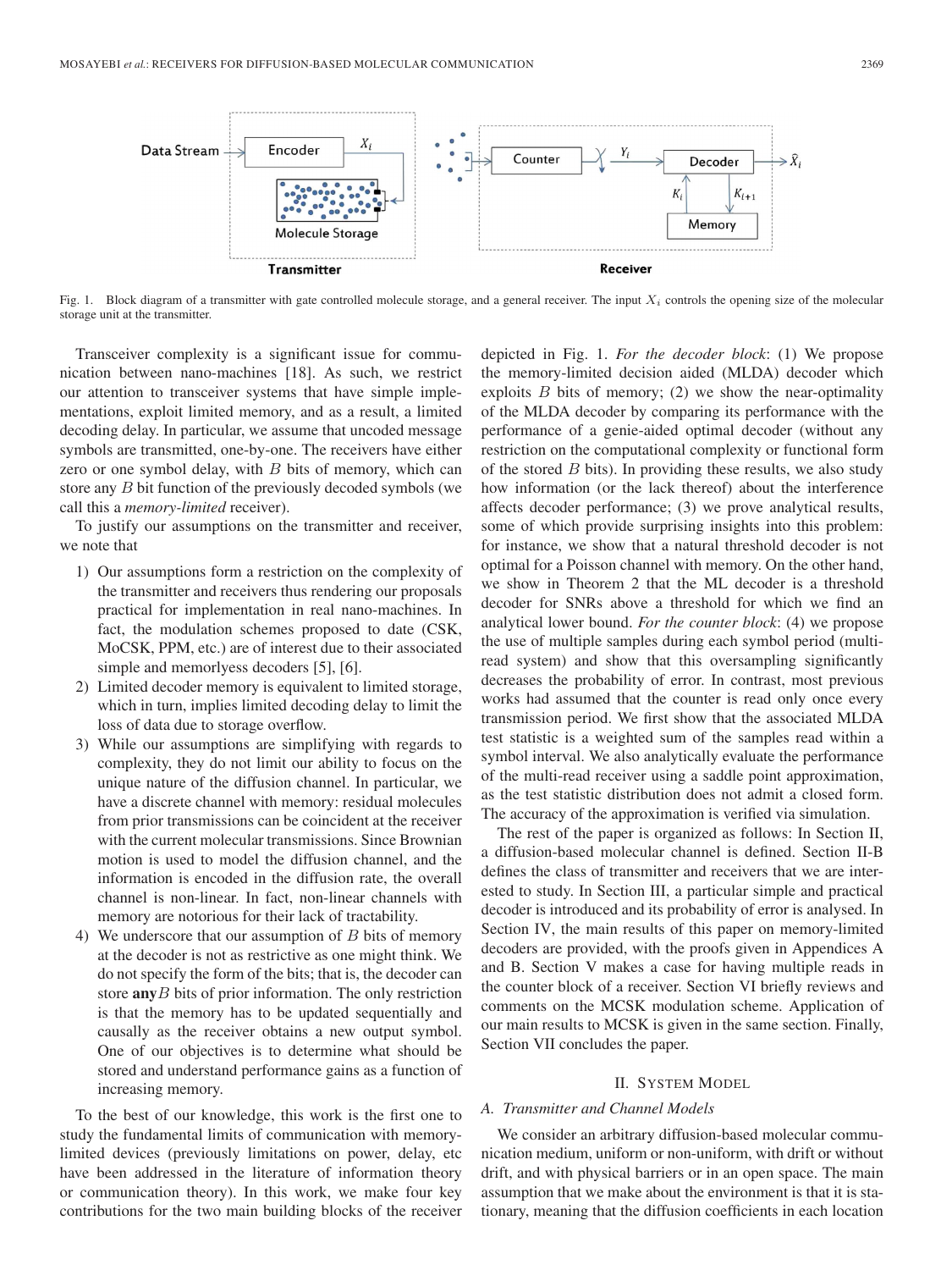

Fig. 1. Block diagram of a transmitter with gate controlled molecule storage, and a general receiver. The input  $X_i$  controls the opening size of the molecular storage unit at the transmitter.

Transceiver complexity is a significant issue for communication between nano-machines [18]. As such, we restrict our attention to transceiver systems that have simple implementations, exploit limited memory, and as a result, a limited decoding delay. In particular, we assume that uncoded message symbols are transmitted, one-by-one. The receivers have either zero or one symbol delay, with  $B$  bits of memory, which can store any B bit function of the previously decoded symbols (we call this a *memory-limited* receiver).

To justify our assumptions on the transmitter and receiver, we note that

- 1) Our assumptions form a restriction on the complexity of the transmitter and receivers thus rendering our proposals practical for implementation in real nano-machines. In fact, the modulation schemes proposed to date (CSK, MoCSK, PPM, etc.) are of interest due to their associated simple and memorlyess decoders [5], [6].
- 2) Limited decoder memory is equivalent to limited storage, which in turn, implies limited decoding delay to limit the loss of data due to storage overflow.
- 3) While our assumptions are simplifying with regards to complexity, they do not limit our ability to focus on the unique nature of the diffusion channel. In particular, we have a discrete channel with memory: residual molecules from prior transmissions can be coincident at the receiver with the current molecular transmissions. Since Brownian motion is used to model the diffusion channel, and the information is encoded in the diffusion rate, the overall channel is non-linear. In fact, non-linear channels with memory are notorious for their lack of tractability.
- 4) We underscore that our assumption of  $B$  bits of memory at the decoder is not as restrictive as one might think. We do not specify the form of the bits; that is, the decoder can store **any**B bits of prior information. The only restriction is that the memory has to be updated sequentially and causally as the receiver obtains a new output symbol. One of our objectives is to determine what should be stored and understand performance gains as a function of increasing memory.

To the best of our knowledge, this work is the first one to study the fundamental limits of communication with memorylimited devices (previously limitations on power, delay, etc have been addressed in the literature of information theory or communication theory). In this work, we make four key contributions for the two main building blocks of the receiver

depicted in Fig. 1. *For the decoder block*: (1) We propose the memory-limited decision aided (MLDA) decoder which exploits  $B$  bits of memory; (2) we show the near-optimality of the MLDA decoder by comparing its performance with the performance of a genie-aided optimal decoder (without any restriction on the computational complexity or functional form of the stored  $B$  bits). In providing these results, we also study how information (or the lack thereof) about the interference affects decoder performance; (3) we prove analytical results, some of which provide surprising insights into this problem: for instance, we show that a natural threshold decoder is not optimal for a Poisson channel with memory. On the other hand, we show in Theorem 2 that the ML decoder is a threshold decoder for SNRs above a threshold for which we find an analytical lower bound. *For the counter block*: (4) we propose the use of multiple samples during each symbol period (multiread system) and show that this oversampling significantly decreases the probability of error. In contrast, most previous works had assumed that the counter is read only once every transmission period. We first show that the associated MLDA test statistic is a weighted sum of the samples read within a symbol interval. We also analytically evaluate the performance of the multi-read receiver using a saddle point approximation, as the test statistic distribution does not admit a closed form. The accuracy of the approximation is verified via simulation.

The rest of the paper is organized as follows: In Section II, a diffusion-based molecular channel is defined. Section II-B defines the class of transmitter and receivers that we are interested to study. In Section III, a particular simple and practical decoder is introduced and its probability of error is analysed. In Section IV, the main results of this paper on memory-limited decoders are provided, with the proofs given in Appendices A and B. Section V makes a case for having multiple reads in the counter block of a receiver. Section VI briefly reviews and comments on the MCSK modulation scheme. Application of our main results to MCSK is given in the same section. Finally, Section VII concludes the paper.

#### II. SYSTEM MODEL

# *A. Transmitter and Channel Models*

We consider an arbitrary diffusion-based molecular communication medium, uniform or non-uniform, with drift or without drift, and with physical barriers or in an open space. The main assumption that we make about the environment is that it is stationary, meaning that the diffusion coefficients in each location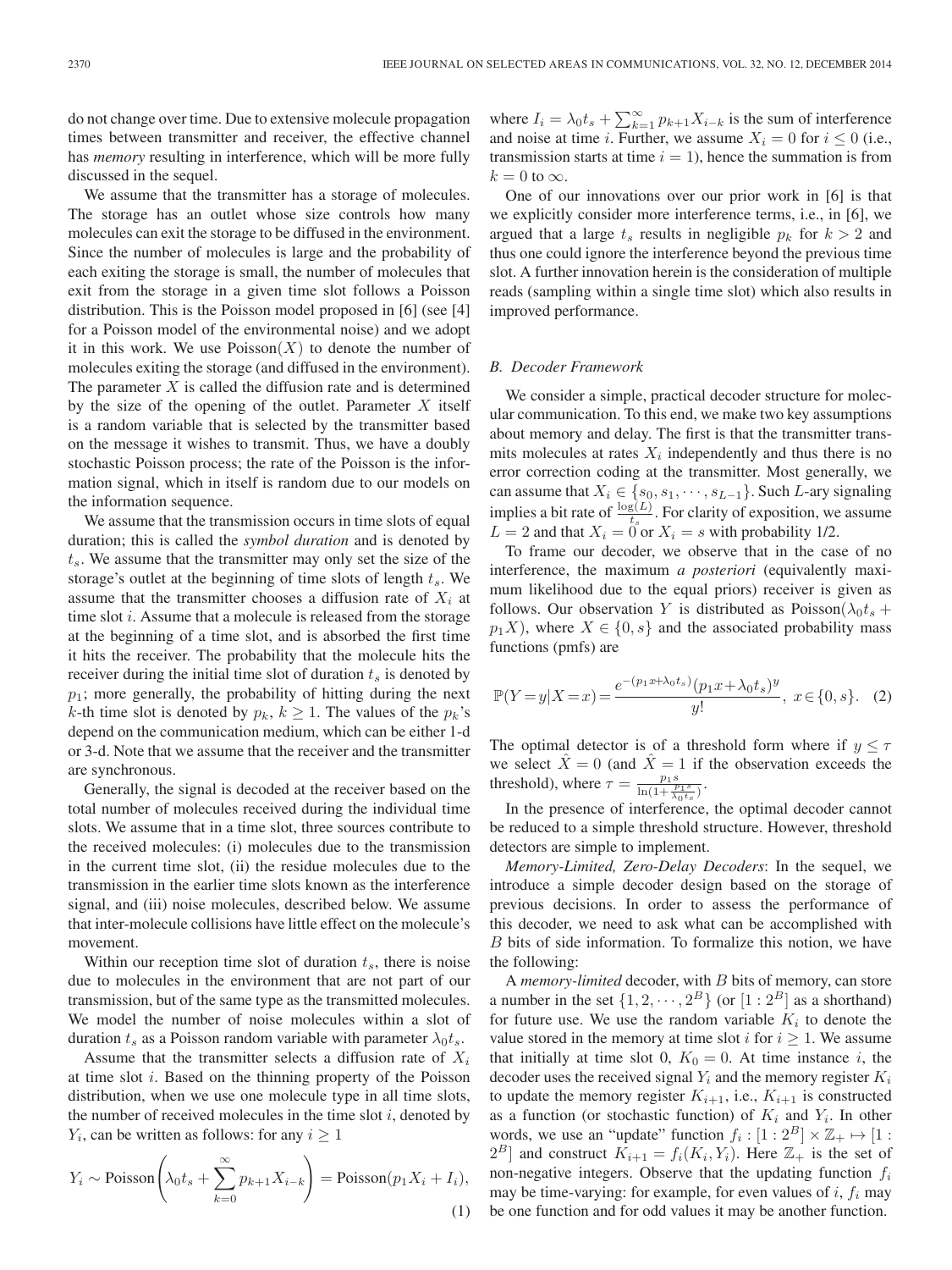do not change over time. Due to extensive molecule propagation times between transmitter and receiver, the effective channel has *memory* resulting in interference, which will be more fully discussed in the sequel.

We assume that the transmitter has a storage of molecules. The storage has an outlet whose size controls how many molecules can exit the storage to be diffused in the environment. Since the number of molecules is large and the probability of each exiting the storage is small, the number of molecules that exit from the storage in a given time slot follows a Poisson distribution. This is the Poisson model proposed in [6] (see [4] for a Poisson model of the environmental noise) and we adopt it in this work. We use  $Poisson(X)$  to denote the number of molecules exiting the storage (and diffused in the environment). The parameter  $X$  is called the diffusion rate and is determined by the size of the opening of the outlet. Parameter  $X$  itself is a random variable that is selected by the transmitter based on the message it wishes to transmit. Thus, we have a doubly stochastic Poisson process; the rate of the Poisson is the information signal, which in itself is random due to our models on the information sequence.

We assume that the transmission occurs in time slots of equal duration; this is called the *symbol duration* and is denoted by  $t<sub>s</sub>$ . We assume that the transmitter may only set the size of the storage's outlet at the beginning of time slots of length  $t_s$ . We assume that the transmitter chooses a diffusion rate of  $X_i$  at time slot i. Assume that a molecule is released from the storage at the beginning of a time slot, and is absorbed the first time it hits the receiver. The probability that the molecule hits the receiver during the initial time slot of duration  $t_s$  is denoted by  $p_1$ ; more generally, the probability of hitting during the next k-th time slot is denoted by  $p_k$ ,  $k \geq 1$ . The values of the  $p_k$ 's depend on the communication medium, which can be either 1-d or 3-d. Note that we assume that the receiver and the transmitter are synchronous.

Generally, the signal is decoded at the receiver based on the total number of molecules received during the individual time slots. We assume that in a time slot, three sources contribute to the received molecules: (i) molecules due to the transmission in the current time slot, (ii) the residue molecules due to the transmission in the earlier time slots known as the interference signal, and (iii) noise molecules, described below. We assume that inter-molecule collisions have little effect on the molecule's movement.

Within our reception time slot of duration  $t_s$ , there is noise due to molecules in the environment that are not part of our transmission, but of the same type as the transmitted molecules. We model the number of noise molecules within a slot of duration  $t_s$  as a Poisson random variable with parameter  $\lambda_0 t_s$ .

Assume that the transmitter selects a diffusion rate of  $X_i$ at time slot  $i$ . Based on the thinning property of the Poisson distribution, when we use one molecule type in all time slots, the number of received molecules in the time slot  $i$ , denoted by  $Y_i$ , can be written as follows: for any  $i \geq 1$ 

$$
Y_i \sim \text{Poisson}\left(\lambda_0 t_s + \sum_{k=0}^{\infty} p_{k+1} X_{i-k}\right) = \text{Poisson}(p_1 X_i + I_i),\tag{1}
$$

where  $I_i = \lambda_0 t_s + \sum_{k=1}^{\infty} p_{k+1} X_{i-k}$  is the sum of interference and noise at time *i*. Further, we assume  $X_i = 0$  for  $i \leq 0$  (i.e., transmission starts at time  $i = 1$ ), hence the summation is from  $k = 0$  to  $\infty$ .

One of our innovations over our prior work in [6] is that we explicitly consider more interference terms, i.e., in [6], we argued that a large  $t_s$  results in negligible  $p_k$  for  $k > 2$  and thus one could ignore the interference beyond the previous time slot. A further innovation herein is the consideration of multiple reads (sampling within a single time slot) which also results in improved performance.

#### *B. Decoder Framework*

We consider a simple, practical decoder structure for molecular communication. To this end, we make two key assumptions about memory and delay. The first is that the transmitter transmits molecules at rates  $X_i$  independently and thus there is no error correction coding at the transmitter. Most generally, we can assume that  $X_i \in \{s_0, s_1, \dots, s_{L-1}\}.$  Such L-ary signaling implies a bit rate of  $\frac{\log(L)}{t_s}$ . For clarity of exposition, we assume  $L = 2$  and that  $X_i = 0$  or  $X_i = s$  with probability 1/2.

To frame our decoder, we observe that in the case of no interference, the maximum *a posteriori* (equivalently maximum likelihood due to the equal priors) receiver is given as follows. Our observation Y is distributed as  $Poisson(\lambda_0 t_s +$  $p_1X$ ), where  $X \in \{0, s\}$  and the associated probability mass functions (pmfs) are

$$
\mathbb{P}(Y=y|X=x) = \frac{e^{-(p_1x+\lambda_0t_s)}(p_1x+\lambda_0t_s)^y}{y!}, \ x \in \{0, s\}. \tag{2}
$$

The optimal detector is of a threshold form where if  $y \leq \tau$ we select  $\hat{X} = 0$  (and  $\hat{X} = 1$  if the observation exceeds the threshold), where  $\tau = \frac{p_1 s}{\ln(1 + \frac{p_1 s}{\lambda_0 t_s})}$ .

In the presence of interference, the optimal decoder cannot be reduced to a simple threshold structure. However, threshold detectors are simple to implement.

*Memory-Limited, Zero-Delay Decoders*: In the sequel, we introduce a simple decoder design based on the storage of previous decisions. In order to assess the performance of this decoder, we need to ask what can be accomplished with B bits of side information. To formalize this notion, we have the following:

A *memory-limited* decoder, with B bits of memory, can store a number in the set  $\{1, 2, \dots, 2^B\}$  (or  $[1:2^B]$  as a shorthand) for future use. We use the random variable  $K_i$  to denote the value stored in the memory at time slot i for  $i \geq 1$ . We assume that initially at time slot 0,  $K_0 = 0$ . At time instance i, the decoder uses the received signal  $Y_i$  and the memory register  $K_i$ to update the memory register  $K_{i+1}$ , i.e.,  $K_{i+1}$  is constructed as a function (or stochastic function) of  $K_i$  and  $Y_i$ . In other words, we use an "update" function  $f_i : [1 : 2^B] \times \mathbb{Z}_+ \mapsto [1 :$  $2^B$ ] and construct  $K_{i+1} = f_i(K_i, Y_i)$ . Here  $\mathbb{Z}_+$  is the set of non-negative integers. Observe that the updating function  $f_i$ may be time-varying: for example, for even values of i,  $f_i$  may be one function and for odd values it may be another function.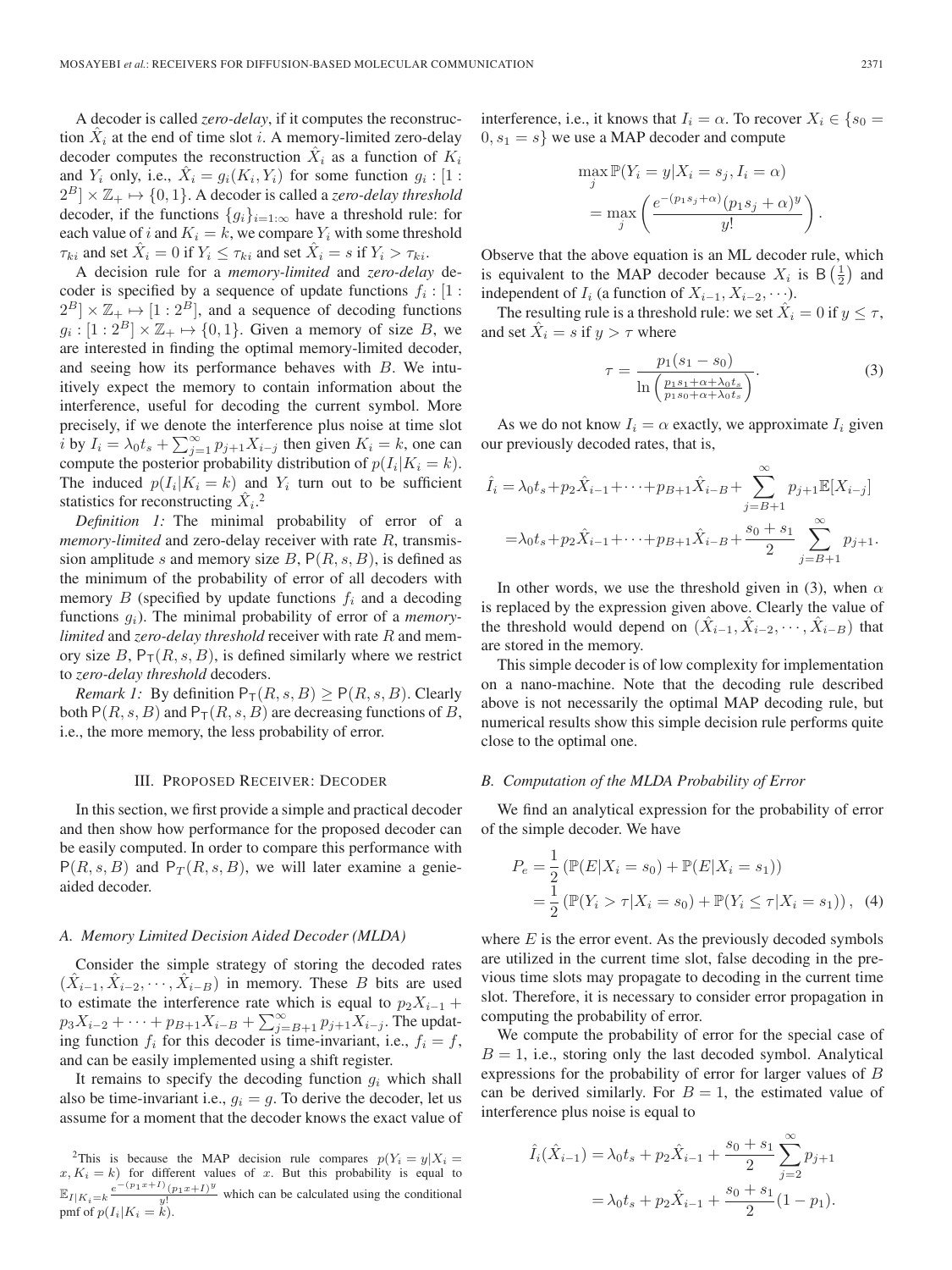A decoder is called *zero-delay*, if it computes the reconstruction  $X_i$  at the end of time slot i. A memory-limited zero-delay decoder computes the reconstruction  $\hat{X}_i$  as a function of  $K_i$ and  $Y_i$  only, i.e.,  $\dot{X}_i = g_i(K_i, Y_i)$  for some function  $g_i : [1 :$  $2^{B}$   $\times \mathbb{Z}_{+} \mapsto \{0,1\}$ . A decoder is called a *zero-delay threshold* decoder, if the functions  ${g_i}_{i=1:\infty}$  have a threshold rule: for each value of i and  $K_i = k$ , we compare  $Y_i$  with some threshold  $\tau_{ki}$  and set  $\hat{X}_i = 0$  if  $Y_i \leq \tau_{ki}$  and set  $\hat{X}_i = s$  if  $Y_i > \tau_{ki}$ .

A decision rule for a *memory-limited* and *zero-delay* decoder is specified by a sequence of update functions  $f_i : [1 :]$  $2^B$   $\times \mathbb{Z}_+ \mapsto [1:2^B]$ , and a sequence of decoding functions  $g_i : [1 : 2^B] \times \mathbb{Z}_+ \mapsto \{0, 1\}.$  Given a memory of size B, we are interested in finding the optimal memory-limited decoder, and seeing how its performance behaves with B. We intuitively expect the memory to contain information about the interference, useful for decoding the current symbol. More precisely, if we denote the interference plus noise at time slot i by  $I_i = \lambda_0 t_s + \sum_{j=1}^{\infty} p_{j+1} X_{i-j}$  then given  $K_i = k$ , one can compute the posterior probability distribution of  $p(I_i|K_i = k)$ . The induced  $p(I_i|K_i = k)$  and  $Y_i$  turn out to be sufficient statistics for reconstructing  $\hat{X}_i$ .<sup>2</sup>

*Definition 1:* The minimal probability of error of a *memory-limited* and zero-delay receiver with rate R, transmission amplitude s and memory size B,  $P(R, s, B)$ , is defined as the minimum of the probability of error of all decoders with memory  $B$  (specified by update functions  $f_i$  and a decoding functions  $q_i$ ). The minimal probability of error of a *memorylimited* and *zero-delay threshold* receiver with rate R and memory size  $B$ ,  $P_T(R, s, B)$ , is defined similarly where we restrict to *zero-delay threshold* decoders.

*Remark 1:* By definition  $P_{\text{T}}(R, s, B) \geq P(R, s, B)$ . Clearly both  $P(R, s, B)$  and  $P_T(R, s, B)$  are decreasing functions of B, i.e., the more memory, the less probability of error.

#### III. PROPOSED RECEIVER: DECODER

In this section, we first provide a simple and practical decoder and then show how performance for the proposed decoder can be easily computed. In order to compare this performance with  $P(R, s, B)$  and  $P_T(R, s, B)$ , we will later examine a genieaided decoder.

# *A. Memory Limited Decision Aided Decoder (MLDA)*

Consider the simple strategy of storing the decoded rates  $(X_{i-1}, X_{i-2}, \cdots, X_{i-B})$  in memory. These B bits are used to estimate the interference rate which is equal to  $p_2X_{i-1}$  +  $p_3X_{i-2} + \cdots + p_{B+1}X_{i-B} + \sum_{j=B+1}^{\infty} p_{j+1}X_{i-j}$ . The updating function  $f_i$  for this decoder is time-invariant, i.e.,  $f_i = f$ , and can be easily implemented using a shift register.

It remains to specify the decoding function  $g_i$  which shall also be time-invariant i.e.,  $g_i = g$ . To derive the decoder, let us assume for a moment that the decoder knows the exact value of

interference, i.e., it knows that  $I_i = \alpha$ . To recover  $X_i \in \{s_0 = \alpha\}$  $0, s_1 = s$  we use a MAP decoder and compute

$$
\max_{j} \mathbb{P}(Y_i = y | X_i = s_j, I_i = \alpha)
$$

$$
= \max_{j} \left( \frac{e^{-(p_1 s_j + \alpha)} (p_1 s_j + \alpha)^y}{y!} \right)
$$

Observe that the above equation is an ML decoder rule, which is equivalent to the MAP decoder because  $X_i$  is  $B\left(\frac{1}{2}\right)$  and independent of  $I_i$  (a function of  $X_{i-1}, X_{i-2}, \cdots$ ).

The resulting rule is a threshold rule: we set  $\hat{X}_i = 0$  if  $y \leq \tau$ , and set  $\hat{X}_i = s$  if  $y > \tau$  where

$$
\tau = \frac{p_1(s_1 - s_0)}{\ln\left(\frac{p_1s_1 + \alpha + \lambda_0t_s}{p_1s_0 + \alpha + \lambda_0t_s}\right)}.\tag{3}
$$

As we do not know  $I_i = \alpha$  exactly, we approximate  $I_i$  given our previously decoded rates, that is,

$$
\hat{I}_i = \lambda_0 t_s + p_2 \hat{X}_{i-1} + \dots + p_{B+1} \hat{X}_{i-B} + \sum_{j=B+1}^{\infty} p_{j+1} \mathbb{E}[X_{i-j}]
$$
  
=  $\lambda_0 t_s + p_2 \hat{X}_{i-1} + \dots + p_{B+1} \hat{X}_{i-B} + \frac{s_0 + s_1}{2} \sum_{j=B+1}^{\infty} p_{j+1}.$ 

In other words, we use the threshold given in (3), when  $\alpha$ is replaced by the expression given above. Clearly the value of the threshold would depend on  $(\hat{X}_{i-1}, \hat{X}_{i-2}, \cdots, \hat{X}_{i-B})$  that are stored in the memory.

This simple decoder is of low complexity for implementation on a nano-machine. Note that the decoding rule described above is not necessarily the optimal MAP decoding rule, but numerical results show this simple decision rule performs quite close to the optimal one.

#### *B. Computation of the MLDA Probability of Error*

We find an analytical expression for the probability of error of the simple decoder. We have

$$
P_e = \frac{1}{2} \left( \mathbb{P}(E|X_i = s_0) + \mathbb{P}(E|X_i = s_1) \right)
$$
  
=  $\frac{1}{2} \left( \mathbb{P}(Y_i > \tau | X_i = s_0) + \mathbb{P}(Y_i \le \tau | X_i = s_1) \right)$ , (4)

where  $E$  is the error event. As the previously decoded symbols are utilized in the current time slot, false decoding in the previous time slots may propagate to decoding in the current time slot. Therefore, it is necessary to consider error propagation in computing the probability of error.

We compute the probability of error for the special case of  $B = 1$ , i.e., storing only the last decoded symbol. Analytical expressions for the probability of error for larger values of B can be derived similarly. For  $B = 1$ , the estimated value of interference plus noise is equal to

$$
\hat{I}_i(\hat{X}_{i-1}) = \lambda_0 t_s + p_2 \hat{X}_{i-1} + \frac{s_0 + s_1}{2} \sum_{j=2}^{\infty} p_{j+1}
$$

$$
= \lambda_0 t_s + p_2 \hat{X}_{i-1} + \frac{s_0 + s_1}{2} (1 - p_1).
$$

.

<sup>&</sup>lt;sup>2</sup>This is because the MAP decision rule compares  $p(Y_i = y | X_i =$  $x, K_i = k$ ) for different values of x. But this probability is equal to  $\mathbb{E}_{I|K_i=k} \frac{e^{-(p_1x+I)(p_1x+I)^y}}{y!}$  which can be calculated using the conditional pmf of  $p(I_i|K_i = k)$ .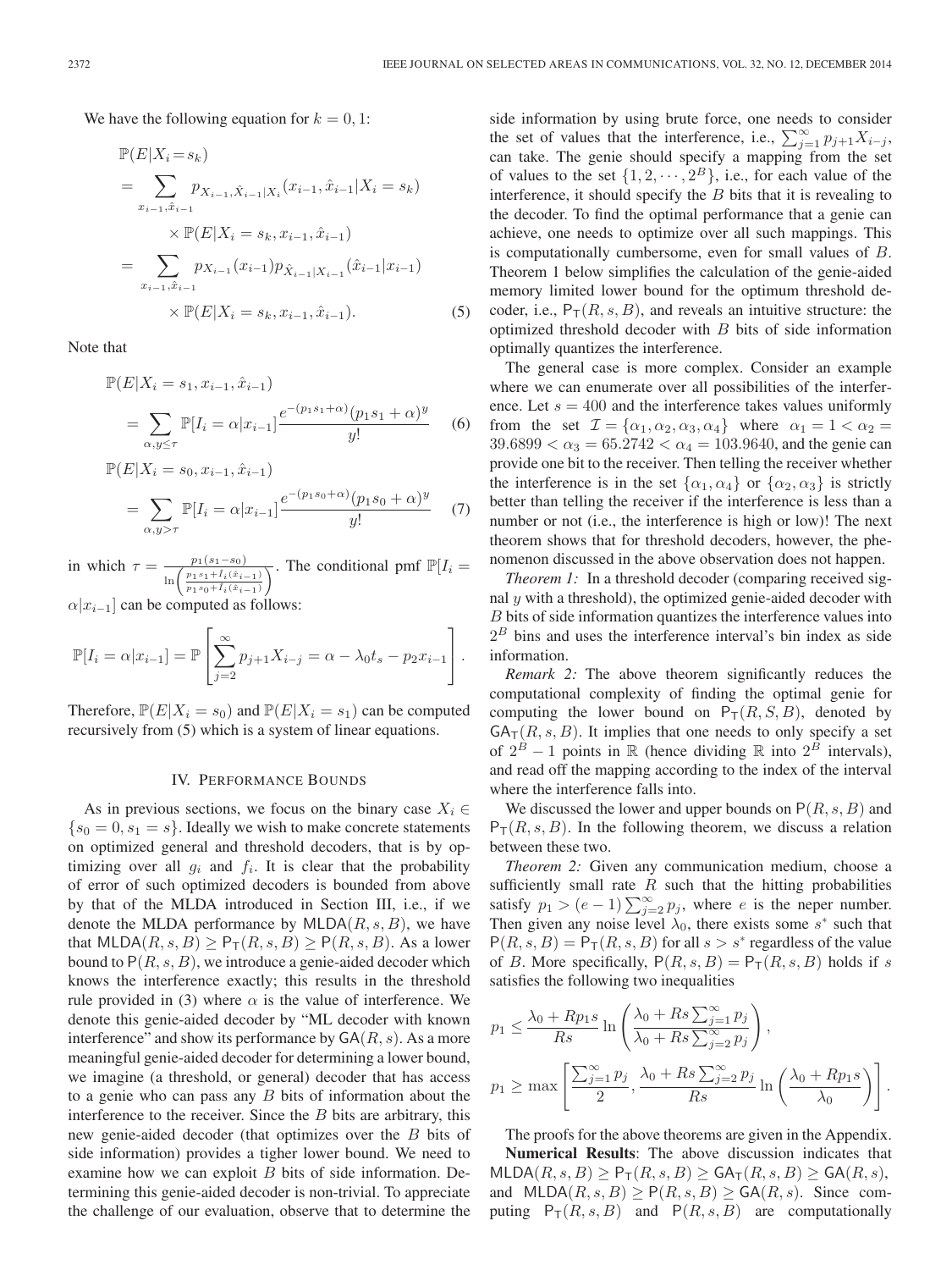We have the following equation for  $k = 0, 1$ :

$$
\mathbb{P}(E|X_i = s_k)
$$
\n
$$
= \sum_{x_{i-1}, \hat{x}_{i-1}} p_{X_{i-1}, \hat{X}_{i-1}|X_i}(x_{i-1}, \hat{x}_{i-1}|X_i = s_k)
$$
\n
$$
\times \mathbb{P}(E|X_i = s_k, x_{i-1}, \hat{x}_{i-1})
$$
\n
$$
= \sum_{x_{i-1}, \hat{x}_{i-1}} p_{X_{i-1}}(x_{i-1}) p_{\hat{X}_{i-1}|X_{i-1}}(\hat{x}_{i-1}|x_{i-1})
$$
\n
$$
\times \mathbb{P}(E|X_i = s_k, x_{i-1}, \hat{x}_{i-1}).
$$
\n(5)

Note that

$$
\mathbb{P}(E|X_i = s_1, x_{i-1}, \hat{x}_{i-1})
$$
\n
$$
= \sum_{\alpha, y \le \tau} \mathbb{P}[I_i = \alpha | x_{i-1}] \frac{e^{-(p_1 s_1 + \alpha)} (p_1 s_1 + \alpha)^y}{y!}
$$
\n(6)

$$
\mathbb{P}(E|X_i = s_0, x_{i-1}, \hat{x}_{i-1})
$$
\n
$$
= \sum_{\alpha, y > \tau} \mathbb{P}[I_i = \alpha | x_{i-1}] \frac{e^{-(p_1 s_0 + \alpha)} (p_1 s_0 + \alpha)^y}{y!}
$$
\n(7)

in which  $\tau = \frac{p_1(s_1-s_0)}{\sqrt{e_1^2 + r_0^2}}$  $\ln\left(\frac{p_1 s_1 + \hat{I}_i(\hat{x}_{i-1})}{p_1 s_0 + \hat{I}_i(\hat{x}_{i-1})}\right)$ The conditional pmf  $\mathbb{P}[I_i =$ 

 $\alpha |x_{i-1}|$  can be computed as follows:

$$
\mathbb{P}[I_i = \alpha | x_{i-1}] = \mathbb{P}\left[\sum_{j=2}^{\infty} p_{j+1} X_{i-j} = \alpha - \lambda_0 t_s - p_2 x_{i-1}\right].
$$

Therefore,  $\mathbb{P}(E|X_i = s_0)$  and  $\mathbb{P}(E|X_i = s_1)$  can be computed recursively from (5) which is a system of linear equations.

#### IV. PERFORMANCE BOUNDS

As in previous sections, we focus on the binary case  $X_i \in$  $\{s_0 = 0, s_1 = s\}$ . Ideally we wish to make concrete statements on optimized general and threshold decoders, that is by optimizing over all  $g_i$  and  $f_i$ . It is clear that the probability of error of such optimized decoders is bounded from above by that of the MLDA introduced in Section III, i.e., if we denote the MLDA performance by  $MLDA(R, s, B)$ , we have that MLDA $(R, s, B) \geq P_T(R, s, B) \geq P(R, s, B)$ . As a lower bound to  $P(R, s, B)$ , we introduce a genie-aided decoder which knows the interference exactly; this results in the threshold rule provided in (3) where  $\alpha$  is the value of interference. We denote this genie-aided decoder by "ML decoder with known interference" and show its performance by  $GA(R, s)$ . As a more meaningful genie-aided decoder for determining a lower bound, we imagine (a threshold, or general) decoder that has access to a genie who can pass any B bits of information about the interference to the receiver. Since the  $B$  bits are arbitrary, this new genie-aided decoder (that optimizes over the B bits of side information) provides a tigher lower bound. We need to examine how we can exploit  $B$  bits of side information. Determining this genie-aided decoder is non-trivial. To appreciate the challenge of our evaluation, observe that to determine the side information by using brute force, one needs to consider the set of values that the interference, i.e.,  $\sum_{j=1}^{\infty} p_{j+1} X_{i-j}$ , can take. The genie should specify a mapping from the set of values to the set  $\{1, 2, \dots, 2^B\}$ , i.e., for each value of the interference, it should specify the  $B$  bits that it is revealing to the decoder. To find the optimal performance that a genie can achieve, one needs to optimize over all such mappings. This is computationally cumbersome, even for small values of B. Theorem 1 below simplifies the calculation of the genie-aided memory limited lower bound for the optimum threshold decoder, i.e.,  $P_T(R, s, B)$ , and reveals an intuitive structure: the optimized threshold decoder with B bits of side information optimally quantizes the interference.

The general case is more complex. Consider an example where we can enumerate over all possibilities of the interference. Let  $s = 400$  and the interference takes values uniformly from the set  $\mathcal{I} = {\alpha_1, \alpha_2, \alpha_3, \alpha_4}$  where  $\alpha_1 = 1 < \alpha_2 =$  $39.6899 < \alpha_3 = 65.2742 < \alpha_4 = 103.9640$ , and the genie can provide one bit to the receiver. Then telling the receiver whether the interference is in the set  $\{\alpha_1, \alpha_4\}$  or  $\{\alpha_2, \alpha_3\}$  is strictly better than telling the receiver if the interference is less than a number or not (i.e., the interference is high or low)! The next theorem shows that for threshold decoders, however, the phenomenon discussed in the above observation does not happen.

*Theorem 1:* In a threshold decoder (comparing received signal  $y$  with a threshold), the optimized genie-aided decoder with B bits of side information quantizes the interference values into  $2<sup>B</sup>$  bins and uses the interference interval's bin index as side information.

*Remark 2:* The above theorem significantly reduces the computational complexity of finding the optimal genie for computing the lower bound on  $P_T(R, S, B)$ , denoted by  $GA_T(R, s, B)$ . It implies that one needs to only specify a set of  $2^B - 1$  points in R (hence dividing R into  $2^B$  intervals), and read off the mapping according to the index of the interval where the interference falls into.

We discussed the lower and upper bounds on  $P(R, s, B)$  and  $P_T(R, s, B)$ . In the following theorem, we discuss a relation between these two.

*Theorem 2:* Given any communication medium, choose a sufficiently small rate  $R$  such that the hitting probabilities satisfy  $p_1 > (e-1) \sum_{j=2}^{\infty} p_j$ , where e is the neper number. Then given any noise level  $\lambda_0$ , there exists some s<sup>\*</sup> such that  $P(R, s, B) = P<sub>T</sub>(R, s, B)$  for all  $s > s^*$  regardless of the value of B. More specifically,  $P(R, s, B) = P_T(R, s, B)$  holds if s satisfies the following two inequalities

$$
p_1 \le \frac{\lambda_0 + Rp_1s}{Rs} \ln\left(\frac{\lambda_0 + Rs \sum_{j=1}^{\infty} p_j}{\lambda_0 + Rs \sum_{j=2}^{\infty} p_j}\right),
$$
  

$$
p_1 \ge \max\left[\frac{\sum_{j=1}^{\infty} p_j}{2}, \frac{\lambda_0 + Rs \sum_{j=2}^{\infty} p_j}{Rs} \ln\left(\frac{\lambda_0 + Rp_1s}{\lambda_0}\right)\right].
$$

The proofs for the above theorems are given in the Appendix. **Numerical Results**: The above discussion indicates that  $MLDA(R, s, B) \geq P_T(R, s, B) \geq GA_T(R, s, B) \geq GA(R, s),$ and  $MLDA(R, s, B) \geq P(R, s, B) \geq GA(R, s)$ . Since computing  $P_T(R, s, B)$  and  $P(R, s, B)$  are computationally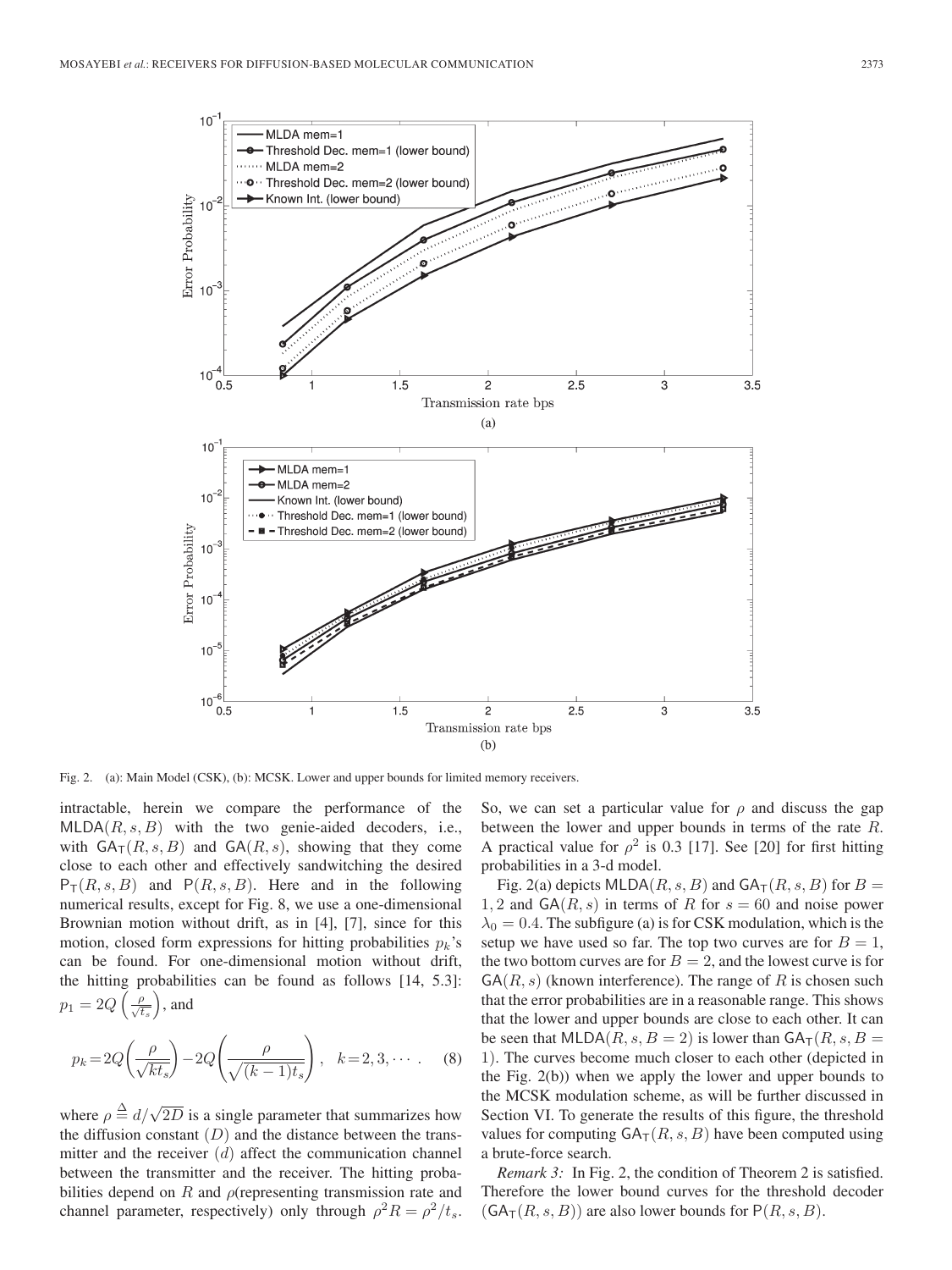

Fig. 2. (a): Main Model (CSK), (b): MCSK. Lower and upper bounds for limited memory receivers.

intractable, herein we compare the performance of the  $MLDA(R, s, B)$  with the two genie-aided decoders, i.e., with  $GA_T(R, s, B)$  and  $GA(R, s)$ , showing that they come close to each other and effectively sandwitching the desired  $P_T(R, s, B)$  and  $P(R, s, B)$ . Here and in the following numerical results, except for Fig. 8, we use a one-dimensional Brownian motion without drift, as in [4], [7], since for this motion, closed form expressions for hitting probabilities  $p_k$ 's can be found. For one-dimensional motion without drift, the hitting probabilities can be found as follows [14, 5.3]:  $p_1=2Q\left(\frac{\rho}{\sqrt{t_s}}\right)$ , and

$$
p_k = 2Q\left(\frac{\rho}{\sqrt{kt_s}}\right) - 2Q\left(\frac{\rho}{\sqrt{(k-1)t_s}}\right), \quad k = 2, 3, \cdots \tag{8}
$$

where  $\rho \triangleq d/\sqrt{2D}$  is a single parameter that summarizes how the diffusion constant  $(D)$  and the distance between the transmitter and the receiver  $(d)$  affect the communication channel between the transmitter and the receiver. The hitting probabilities depend on R and  $\rho$ (representing transmission rate and channel parameter, respectively) only through  $\rho^2 R = \rho^2/t_s$ .

So, we can set a particular value for  $\rho$  and discuss the gap between the lower and upper bounds in terms of the rate R. A practical value for  $\rho^2$  is 0.3 [17]. See [20] for first hitting probabilities in a 3-d model.

Fig. 2(a) depicts MLDA( $R$ , s, B) and  $GA_T(R, s, B)$  for  $B =$ 1, 2 and  $GA(R, s)$  in terms of R for  $s = 60$  and noise power  $\lambda_0 = 0.4$ . The subfigure (a) is for CSK modulation, which is the setup we have used so far. The top two curves are for  $B = 1$ , the two bottom curves are for  $B = 2$ , and the lowest curve is for  $G(A(R, s)$  (known interference). The range of R is chosen such that the error probabilities are in a reasonable range. This shows that the lower and upper bounds are close to each other. It can be seen that MLDA( $R$ ,  $s$ ,  $B = 2$ ) is lower than  $GA_T(R, s, B = 1)$ 1). The curves become much closer to each other (depicted in the Fig. 2(b)) when we apply the lower and upper bounds to the MCSK modulation scheme, as will be further discussed in Section VI. To generate the results of this figure, the threshold values for computing  $GA_T(R, s, B)$  have been computed using a brute-force search.

*Remark 3:* In Fig. 2, the condition of Theorem 2 is satisfied. Therefore the lower bound curves for the threshold decoder  $(GA<sub>T</sub>(R, s, B))$  are also lower bounds for  $P(R, s, B)$ .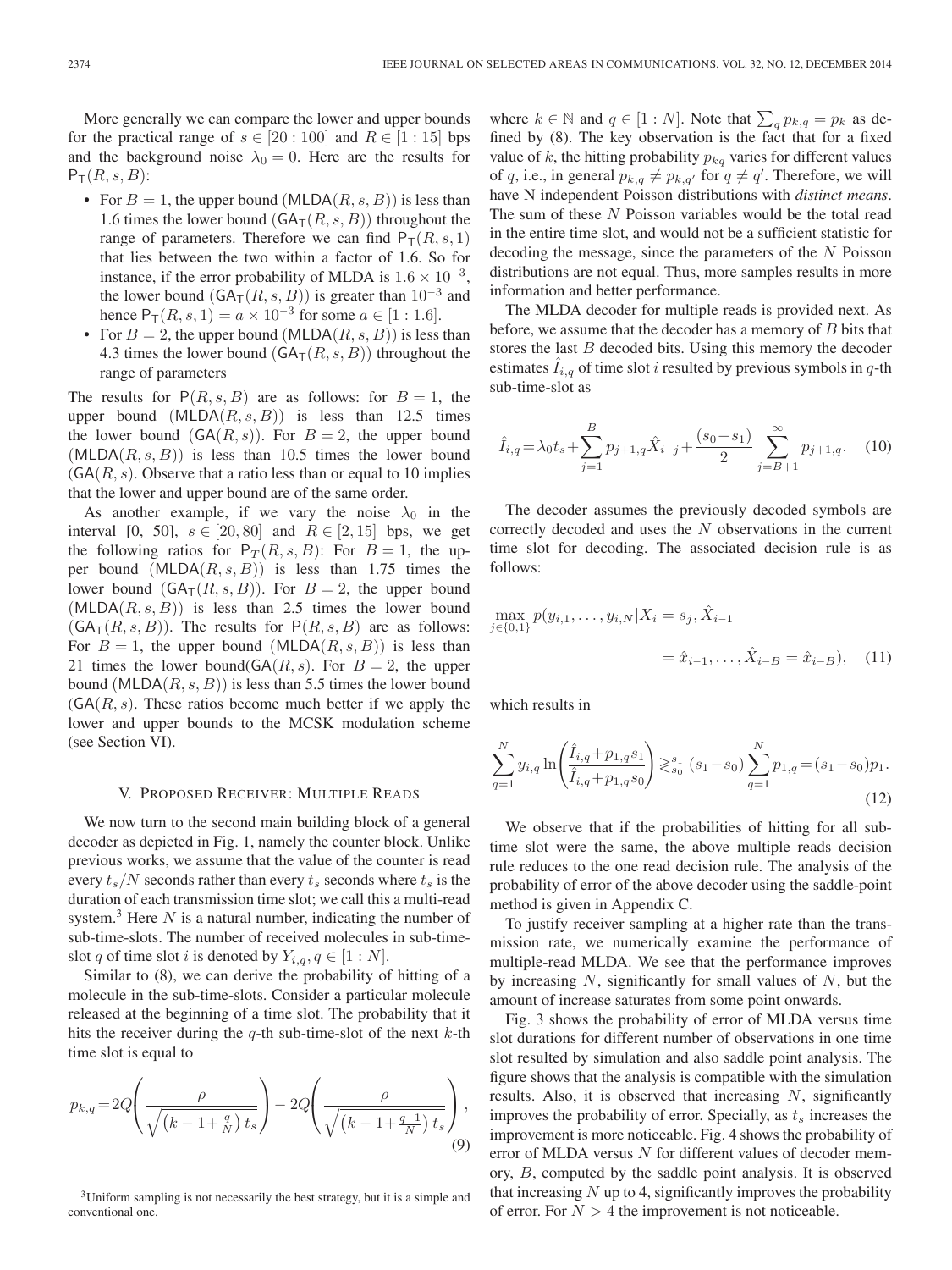More generally we can compare the lower and upper bounds for the practical range of  $s \in [20:100]$  and  $R \in [1:15]$  bps and the background noise  $\lambda_0 = 0$ . Here are the results for  $P_T(R, s, B)$ :

- For  $B = 1$ , the upper bound (MLDA(R, s, B)) is less than 1.6 times the lower bound  $(GA<sub>T</sub>(R, s, B))$  throughout the range of parameters. Therefore we can find  $P_T(R, s, 1)$ that lies between the two within a factor of 1.6. So for instance, if the error probability of MLDA is  $1.6 \times 10^{-3}$ , the lower bound ( $GA_T(R, s, B)$ ) is greater than 10<sup>-3</sup> and hence  $P_T(R, s, 1) = a \times 10^{-3}$  for some  $a \in [1 : 1.6]$ .
- For  $B = 2$ , the upper bound (MLDA(R, s, B)) is less than 4.3 times the lower bound  $(GA<sub>T</sub>(R, s, B))$  throughout the range of parameters

The results for  $P(R, s, B)$  are as follows: for  $B = 1$ , the upper bound  $(MLDA(R, s, B))$  is less than 12.5 times the lower bound  $(GA(R, s))$ . For  $B = 2$ , the upper bound  $(MLDA(R, s, B))$  is less than 10.5 times the lower bound  $(GA(R, s)$ . Observe that a ratio less than or equal to 10 implies that the lower and upper bound are of the same order.

As another example, if we vary the noise  $\lambda_0$  in the interval [0, 50],  $s \in [20, 80]$  and  $R \in [2, 15]$  bps, we get the following ratios for  $P_T(R, s, B)$ : For  $B = 1$ , the upper bound  $(MLDA(R, s, B))$  is less than 1.75 times the lower bound  $(GA_{\mathsf{T}}(R, s, B))$ . For  $B = 2$ , the upper bound  $(MLDA(R, s, B))$  is less than 2.5 times the lower bound  $(GA<sub>T</sub>(R, s, B))$ . The results for  $P(R, s, B)$  are as follows: For  $B = 1$ , the upper bound (MLDA(R, s, B)) is less than 21 times the lower bound( $\mathsf{GA}(R, s)$ ). For  $B = 2$ , the upper bound (MLDA( $R$ ,  $s$ ,  $B$ )) is less than 5.5 times the lower bound  $(GA(R, s))$ . These ratios become much better if we apply the lower and upper bounds to the MCSK modulation scheme (see Section VI).

## V. PROPOSED RECEIVER: MULTIPLE READS

We now turn to the second main building block of a general decoder as depicted in Fig. 1, namely the counter block. Unlike previous works, we assume that the value of the counter is read every  $t_s/N$  seconds rather than every  $t_s$  seconds where  $t_s$  is the duration of each transmission time slot; we call this a multi-read system.<sup>3</sup> Here  $N$  is a natural number, indicating the number of sub-time-slots. The number of received molecules in sub-timeslot q of time slot i is denoted by  $Y_{i,q}, q \in [1:N]$ .

Similar to (8), we can derive the probability of hitting of a molecule in the sub-time-slots. Consider a particular molecule released at the beginning of a time slot. The probability that it hits the receiver during the q-th sub-time-slot of the next  $k$ -th time slot is equal to

$$
p_{k,q} = 2Q\left(\frac{\rho}{\sqrt{(k-1+\frac{q}{N})t_s}}\right) - 2Q\left(\frac{\rho}{\sqrt{(k-1+\frac{q-1}{N})t_s}}\right),\tag{9}
$$

<sup>3</sup>Uniform sampling is not necessarily the best strategy, but it is a simple and conventional one.

where  $k \in \mathbb{N}$  and  $q \in [1:N]$ . Note that  $\sum_{q} p_{k,q} = p_k$  as defined by (8). The key observation is the fact that for a fixed value of k, the hitting probability  $p_{kq}$  varies for different values of q, i.e., in general  $p_{k,q} \neq p_{k,q'}$  for  $q \neq q'$ . Therefore, we will have N independent Poisson distributions with *distinct means*. The sum of these N Poisson variables would be the total read in the entire time slot, and would not be a sufficient statistic for decoding the message, since the parameters of the N Poisson distributions are not equal. Thus, more samples results in more information and better performance.

The MLDA decoder for multiple reads is provided next. As before, we assume that the decoder has a memory of B bits that stores the last  $B$  decoded bits. Using this memory the decoder estimates  $I_{i,q}$  of time slot i resulted by previous symbols in q-th sub-time-slot as

$$
\hat{I}_{i,q} = \lambda_0 t_s + \sum_{j=1}^B p_{j+1,q} \hat{X}_{i-j} + \frac{(s_0 + s_1)}{2} \sum_{j=B+1}^\infty p_{j+1,q}. \tag{10}
$$

The decoder assumes the previously decoded symbols are correctly decoded and uses the N observations in the current time slot for decoding. The associated decision rule is as follows:

$$
\max_{j \in \{0,1\}} p(y_{i,1}, \dots, y_{i,N} | X_i = s_j, \hat{X}_{i-1}
$$

$$
= \hat{x}_{i-1}, \dots, \hat{X}_{i-B} = \hat{x}_{i-B}), \quad (11)
$$

which results in

$$
\sum_{q=1}^{N} y_{i,q} \ln \left( \frac{\hat{I}_{i,q} + p_{1,q} s_1}{\hat{I}_{i,q} + p_{1,q} s_0} \right) \gtrsim_{s_0}^{s_1} (s_1 - s_0) \sum_{q=1}^{N} p_{1,q} = (s_1 - s_0) p_1.
$$
\n(12)

We observe that if the probabilities of hitting for all subtime slot were the same, the above multiple reads decision rule reduces to the one read decision rule. The analysis of the probability of error of the above decoder using the saddle-point method is given in Appendix C.

To justify receiver sampling at a higher rate than the transmission rate, we numerically examine the performance of multiple-read MLDA. We see that the performance improves by increasing  $N$ , significantly for small values of  $N$ , but the amount of increase saturates from some point onwards.

Fig. 3 shows the probability of error of MLDA versus time slot durations for different number of observations in one time slot resulted by simulation and also saddle point analysis. The figure shows that the analysis is compatible with the simulation results. Also, it is observed that increasing N, significantly improves the probability of error. Specially, as  $t_s$  increases the improvement is more noticeable. Fig. 4 shows the probability of error of MLDA versus  $N$  for different values of decoder memory, B, computed by the saddle point analysis. It is observed that increasing  $N$  up to 4, significantly improves the probability of error. For  $N > 4$  the improvement is not noticeable.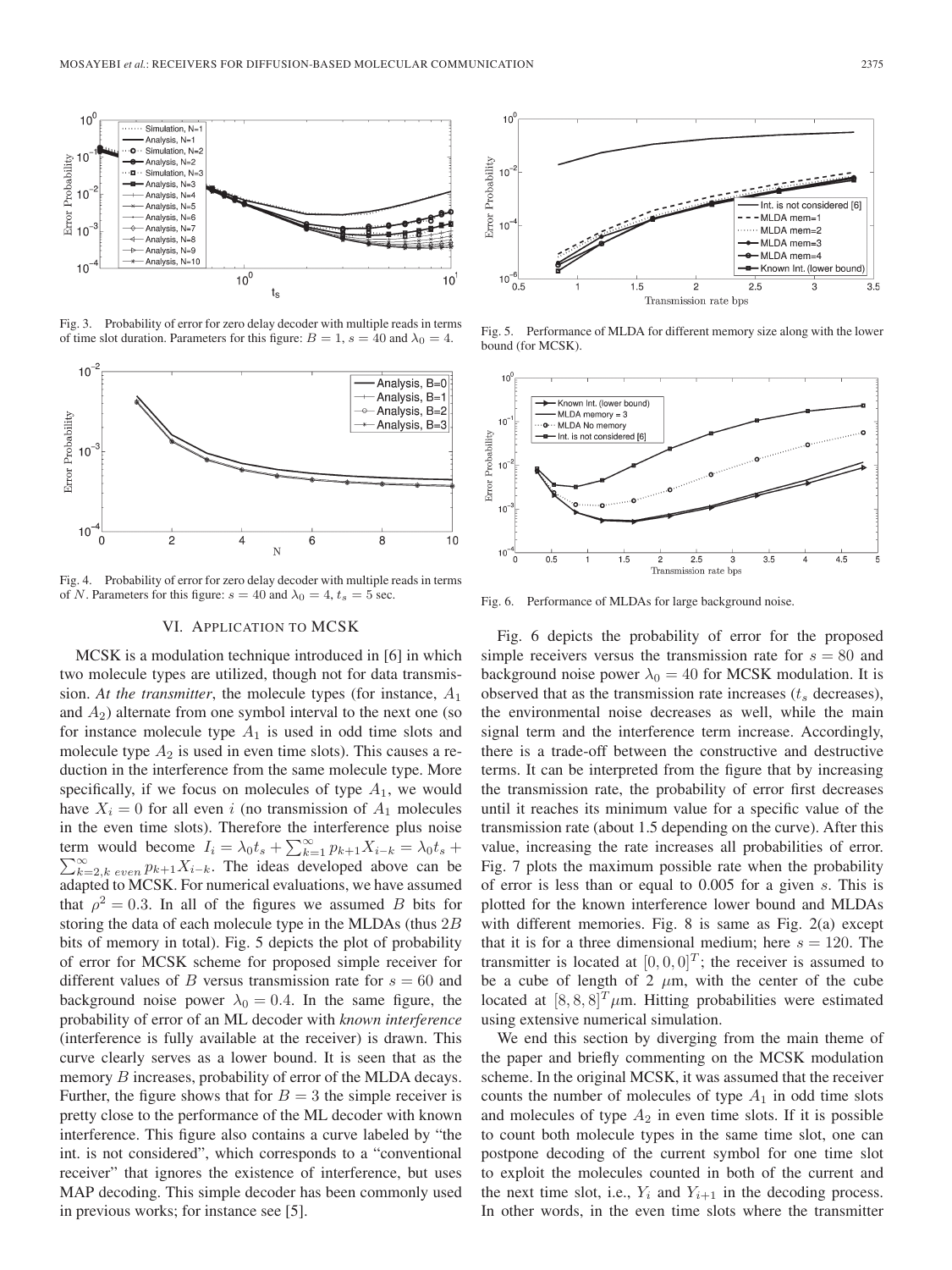

Fig. 3. Probability of error for zero delay decoder with multiple reads in terms of time slot duration. Parameters for this figure:  $B = 1$ ,  $s = 40$  and  $\lambda_0 = 4$ .



Fig. 4. Probability of error for zero delay decoder with multiple reads in terms of N. Parameters for this figure:  $s = 40$  and  $\lambda_0 = 4$ ,  $t_s = 5$  sec.

## VI. APPLICATION TO MCSK

MCSK is a modulation technique introduced in [6] in which two molecule types are utilized, though not for data transmission. At the transmitter, the molecule types (for instance,  $A_1$ ) and  $A_2$ ) alternate from one symbol interval to the next one (so for instance molecule type  $A_1$  is used in odd time slots and molecule type  $A_2$  is used in even time slots). This causes a reduction in the interference from the same molecule type. More specifically, if we focus on molecules of type  $A_1$ , we would have  $X_i = 0$  for all even i (no transmission of  $A_1$  molecules in the even time slots). Therefore the interference plus noise term would become  $I_i = \lambda_0 t_s + \sum_{k=1}^{\infty} p_{k+1} X_{i-k} = \lambda_0 t_s + \sum_{k=1}^{\infty} p_k$  $\sum_{k=2,k}^{\infty} e^{i k}$  even  $p_{k+1}X_{i-k}$ . The ideas developed above can be adapted to MCSK. For numerical evaluations, we have assumed that  $\rho^2 = 0.3$ . In all of the figures we assumed B bits for storing the data of each molecule type in the MLDAs (thus 2B bits of memory in total). Fig. 5 depicts the plot of probability of error for MCSK scheme for proposed simple receiver for different values of B versus transmission rate for  $s = 60$  and background noise power  $\lambda_0 = 0.4$ . In the same figure, the probability of error of an ML decoder with *known interference* (interference is fully available at the receiver) is drawn. This curve clearly serves as a lower bound. It is seen that as the memory B increases, probability of error of the MLDA decays. Further, the figure shows that for  $B = 3$  the simple receiver is pretty close to the performance of the ML decoder with known interference. This figure also contains a curve labeled by "the int. is not considered", which corresponds to a "conventional receiver" that ignores the existence of interference, but uses MAP decoding. This simple decoder has been commonly used in previous works; for instance see [5].



Fig. 5. Performance of MLDA for different memory size along with the lower bound (for MCSK).



Fig. 6. Performance of MLDAs for large background noise.

Fig. 6 depicts the probability of error for the proposed simple receivers versus the transmission rate for  $s = 80$  and background noise power  $\lambda_0 = 40$  for MCSK modulation. It is observed that as the transmission rate increases  $(t<sub>s</sub>$  decreases), the environmental noise decreases as well, while the main signal term and the interference term increase. Accordingly, there is a trade-off between the constructive and destructive terms. It can be interpreted from the figure that by increasing the transmission rate, the probability of error first decreases until it reaches its minimum value for a specific value of the transmission rate (about 1.5 depending on the curve). After this value, increasing the rate increases all probabilities of error. Fig. 7 plots the maximum possible rate when the probability of error is less than or equal to 0.005 for a given s. This is plotted for the known interference lower bound and MLDAs with different memories. Fig. 8 is same as Fig. 2(a) except that it is for a three dimensional medium; here  $s = 120$ . The transmitter is located at  $[0, 0, 0]^T$ ; the receiver is assumed to be a cube of length of  $2 \mu m$ , with the center of the cube located at  $[8, 8, 8]^T \mu$ m. Hitting probabilities were estimated using extensive numerical simulation.

We end this section by diverging from the main theme of the paper and briefly commenting on the MCSK modulation scheme. In the original MCSK, it was assumed that the receiver counts the number of molecules of type  $A_1$  in odd time slots and molecules of type  $A_2$  in even time slots. If it is possible to count both molecule types in the same time slot, one can postpone decoding of the current symbol for one time slot to exploit the molecules counted in both of the current and the next time slot, i.e.,  $Y_i$  and  $Y_{i+1}$  in the decoding process. In other words, in the even time slots where the transmitter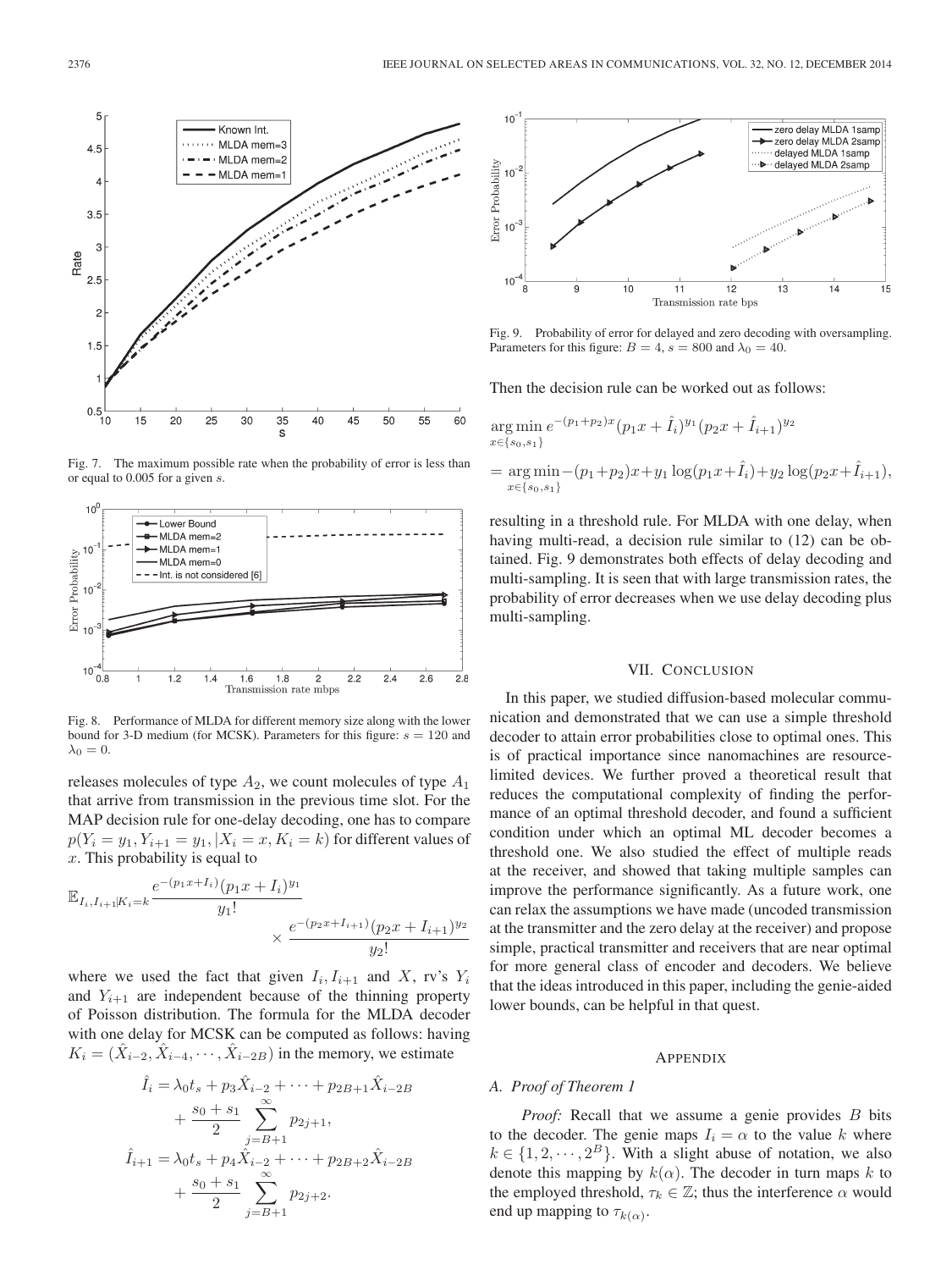

Fig. 7. The maximum possible rate when the probability of error is less than or equal to 0.005 for a given s.



Fig. 8. Performance of MLDA for different memory size along with the lower bound for 3-D medium (for MCSK). Parameters for this figure:  $s = 120$  and  $\lambda_0 = 0.$ 

releases molecules of type  $A_2$ , we count molecules of type  $A_1$ that arrive from transmission in the previous time slot. For the MAP decision rule for one-delay decoding, one has to compare  $p(Y_i = y_1, Y_{i+1} = y_1, |X_i = x, K_i = k)$  for different values of x. This probability is equal to

$$
\mathbb{E}_{I_i, I_{i+1}|K_i=k} \frac{e^{-(p_1x+I_i)}(p_1x+I_i)^{y_1}}{y_1!} \times \frac{e^{-(p_2x+I_{i+1})}(p_2x+I_{i+1})^{y_2}}{y_2!}
$$

where we used the fact that given  $I_i, I_{i+1}$  and X, rv's  $Y_i$ and  $Y_{i+1}$  are independent because of the thinning property of Poisson distribution. The formula for the MLDA decoder with one delay for MCSK can be computed as follows: having  $K_i = (\hat{X}_{i-2}, \hat{X}_{i-4}, \cdots, \hat{X}_{i-2B})$  in the memory, we estimate

$$
\hat{I}_i = \lambda_0 t_s + p_3 \hat{X}_{i-2} + \dots + p_{2B+1} \hat{X}_{i-2B} \n+ \frac{s_0 + s_1}{2} \sum_{j=B+1}^{\infty} p_{2j+1}, \n\hat{I}_{i+1} = \lambda_0 t_s + p_4 \hat{X}_{i-2} + \dots + p_{2B+2} \hat{X}_{i-2B} \n+ \frac{s_0 + s_1}{2} \sum_{j=B+1}^{\infty} p_{2j+2}.
$$



Fig. 9. Probability of error for delayed and zero decoding with oversampling. Parameters for this figure:  $B = 4$ ,  $s = 800$  and  $\lambda_0 = 40$ .

Then the decision rule can be worked out as follows:

$$
\underset{x \in \{s_0, s_1\}}{\arg \min} e^{-(p_1 + p_2)x} (p_1 x + \hat{I}_i)^{y_1} (p_2 x + \hat{I}_{i+1})^{y_2}
$$

$$
= \underset{x \in \{s_0, s_1\}}{\arg \min} - (p_1 + p_2)x + y_1 \log(p_1 x + \hat{I}_i) + y_2 \log(p_2 x + \hat{I}_{i+1}),
$$

resulting in a threshold rule. For MLDA with one delay, when having multi-read, a decision rule similar to  $(12)$  can be obtained. Fig. 9 demonstrates both effects of delay decoding and multi-sampling. It is seen that with large transmission rates, the probability of error decreases when we use delay decoding plus multi-sampling.

## VII. CONCLUSION

In this paper, we studied diffusion-based molecular communication and demonstrated that we can use a simple threshold decoder to attain error probabilities close to optimal ones. This is of practical importance since nanomachines are resourcelimited devices. We further proved a theoretical result that reduces the computational complexity of finding the performance of an optimal threshold decoder, and found a sufficient condition under which an optimal ML decoder becomes a threshold one. We also studied the effect of multiple reads at the receiver, and showed that taking multiple samples can improve the performance significantly. As a future work, one can relax the assumptions we have made (uncoded transmission at the transmitter and the zero delay at the receiver) and propose simple, practical transmitter and receivers that are near optimal for more general class of encoder and decoders. We believe that the ideas introduced in this paper, including the genie-aided lower bounds, can be helpful in that quest.

#### APPENDIX

#### *A. Proof of Theorem 1*

*Proof:* Recall that we assume a genie provides B bits to the decoder. The genie maps  $I_i = \alpha$  to the value k where  $k \in \{1, 2, \dots, 2^B\}$ . With a slight abuse of notation, we also denote this mapping by  $k(\alpha)$ . The decoder in turn maps k to the employed threshold,  $\tau_k \in \mathbb{Z}$ ; thus the interference  $\alpha$  would end up mapping to  $\tau_{k(\alpha)}$ .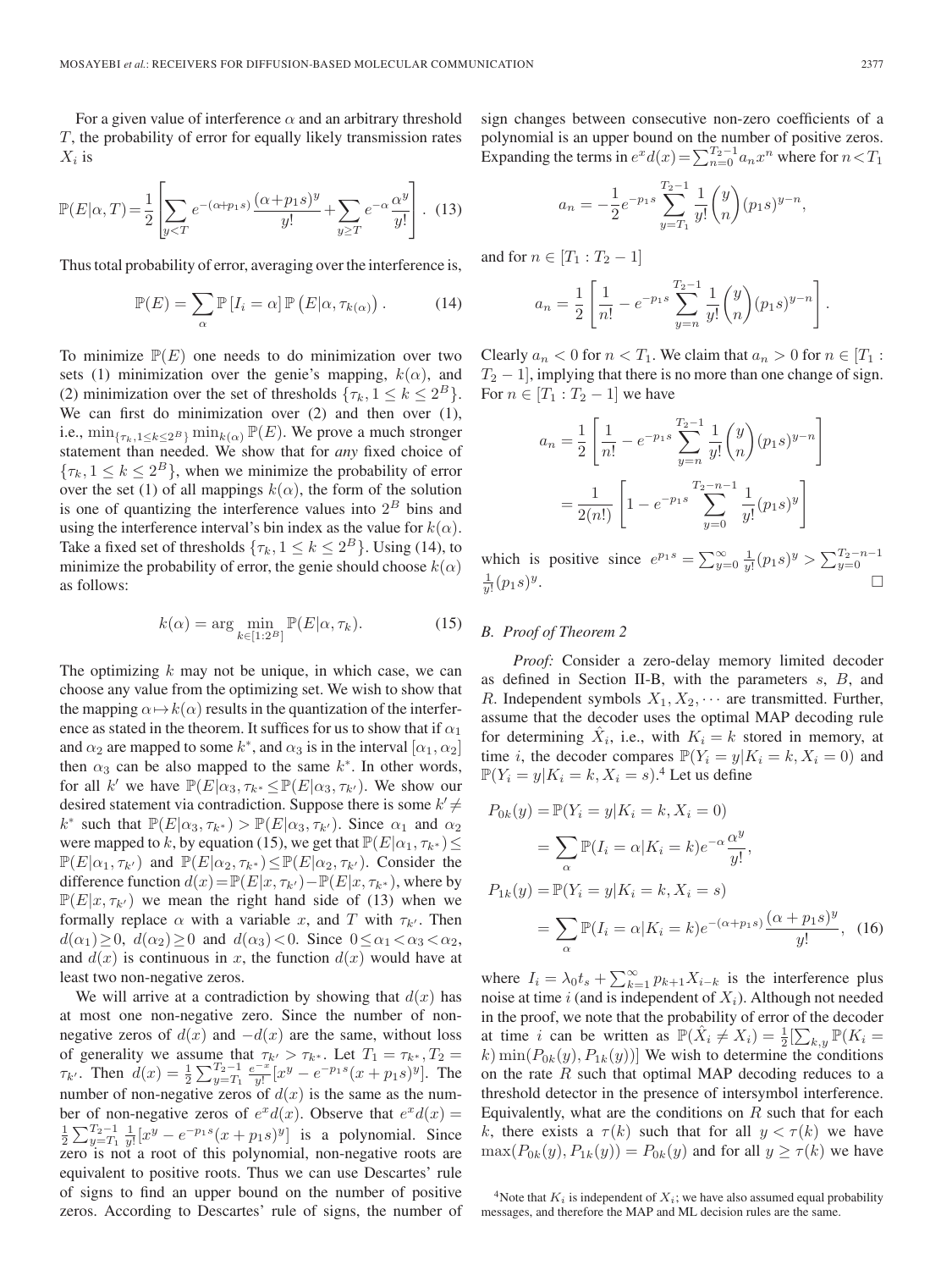For a given value of interference  $\alpha$  and an arbitrary threshold T, the probability of error for equally likely transmission rates  $X_i$  is

$$
\mathbb{P}(E|\alpha,T) = \frac{1}{2} \left[ \sum_{y < T} e^{-(\alpha + p_1 s)} \frac{(\alpha + p_1 s)^y}{y!} + \sum_{y \ge T} e^{-\alpha} \frac{\alpha^y}{y!} \right]. \tag{13}
$$

Thus total probability of error, averaging over the interference is,

$$
\mathbb{P}(E) = \sum_{\alpha} \mathbb{P}\left[I_i = \alpha\right] \mathbb{P}\left(E|\alpha, \tau_{k(\alpha)}\right). \tag{14}
$$

To minimize  $\mathbb{P}(E)$  one needs to do minimization over two sets (1) minimization over the genie's mapping,  $k(\alpha)$ , and (2) minimization over the set of thresholds  $\{\tau_k, 1 \leq k \leq 2^B\}$ . We can first do minimization over (2) and then over (1), i.e.,  $\min_{\{\tau_k, 1 \le k \le 2^B\}} \min_{k(\alpha)} \mathbb{P}(E)$ . We prove a much stronger statement than needed. We show that for *any* fixed choice of  ${\tau_k, 1 \leq k \leq 2^B}$ , when we minimize the probability of error over the set (1) of all mappings  $k(\alpha)$ , the form of the solution is one of quantizing the interference values into  $2<sup>B</sup>$  bins and using the interference interval's bin index as the value for  $k(\alpha)$ . Take a fixed set of thresholds  $\{\tau_k, 1 \leq k \leq 2^B\}$ . Using (14), to minimize the probability of error, the genie should choose  $k(\alpha)$ as follows:

$$
k(\alpha) = \arg \min_{k \in [1:2^B]} \mathbb{P}(E|\alpha, \tau_k). \tag{15}
$$

The optimizing  $k$  may not be unique, in which case, we can choose any value from the optimizing set. We wish to show that the mapping  $\alpha \mapsto k(\alpha)$  results in the quantization of the interference as stated in the theorem. It suffices for us to show that if  $\alpha_1$ and  $\alpha_2$  are mapped to some k<sup>\*</sup>, and  $\alpha_3$  is in the interval  $[\alpha_1, \alpha_2]$ then  $\alpha_3$  can be also mapped to the same  $k^*$ . In other words, for all k' we have  $\mathbb{P}(E|\alpha_3, \tau_{k^*} \leq \mathbb{P}(E|\alpha_3, \tau_{k'})$ . We show our desired statement via contradiction. Suppose there is some  $k' \neq$  $k^*$  such that  $\mathbb{P}(E|\alpha_3, \tau_{k^*}) > \mathbb{P}(E|\alpha_3, \tau_{k'})$ . Since  $\alpha_1$  and  $\alpha_2$ were mapped to k, by equation (15), we get that  $\mathbb{P}(E|\alpha_1, \tau_{k^*}) \leq$  $\mathbb{P}(E|\alpha_1, \tau_{k'})$  and  $\mathbb{P}(E|\alpha_2, \tau_{k^*}) \leq \mathbb{P}(E|\alpha_2, \tau_{k'})$ . Consider the difference function  $d(x) = \mathbb{P}(E|x, \tau_{k}) - \mathbb{P}(E|x, \tau_{k^*})$ , where by  $\mathbb{P}(E|x,\tau_{k'})$  we mean the right hand side of (13) when we formally replace  $\alpha$  with a variable x, and T with  $\tau_{k'}$ . Then  $d(\alpha_1) \geq 0$ ,  $d(\alpha_2) \geq 0$  and  $d(\alpha_3) < 0$ . Since  $0 \leq \alpha_1 < \alpha_3 < \alpha_2$ , and  $d(x)$  is continuous in x, the function  $d(x)$  would have at least two non-negative zeros.

We will arrive at a contradiction by showing that  $d(x)$  has at most one non-negative zero. Since the number of nonnegative zeros of  $d(x)$  and  $-d(x)$  are the same, without loss of generality we assume that  $\tau_{k'} > \tau_{k^*}$ . Let  $T_1 = \tau_{k^*}, T_2 =$  $\tau_{k'}$ . Then  $d(x) = \frac{1}{2} \sum_{y=T_1}^{T_2-1} \frac{e^{-x}}{y!} [x^y - e^{-p_1 s} (x + p_1 s)^y]$ . The number of non-negative zeros of  $d(x)$  is the same as the number of non-negative zeros of  $e^x d(x)$ . Observe that  $e^x d(x) =$  $\frac{1}{2}\sum_{y=T_1}^{T_2-1} \frac{1}{y!} [x^y - e^{-p_1 s}(x+p_1 s)^y]$  is a polynomial. Since zero is not a root of this polynomial, non-negative roots are equivalent to positive roots. Thus we can use Descartes' rule of signs to find an upper bound on the number of positive zeros. According to Descartes' rule of signs, the number of sign changes between consecutive non-zero coefficients of a polynomial is an upper bound on the number of positive zeros. Expanding the terms in  $e^x d(x) = \sum_{n=0}^{T_2-1} a_n x^n$  where for  $n < T_1$ 

$$
a_n = -\frac{1}{2}e^{-p_1s} \sum_{y=T_1}^{T_2-1} \frac{1}{y!} \binom{y}{n} (p_1s)^{y-n},
$$

and for  $n \in [T_1 : T_2 - 1]$ 

$$
a_n = \frac{1}{2} \left[ \frac{1}{n!} - e^{-p_1 s} \sum_{y=n}^{T_2 - 1} \frac{1}{y!} {y \choose n} (p_1 s)^{y-n} \right].
$$

Clearly  $a_n < 0$  for  $n < T_1$ . We claim that  $a_n > 0$  for  $n \in [T_1 :$  $T_2 - 1$ , implying that there is no more than one change of sign. For  $n \in [T_1 : T_2 - 1]$  we have

$$
a_n = \frac{1}{2} \left[ \frac{1}{n!} - e^{-p_1 s} \sum_{y=n}^{T_2 - 1} \frac{1}{y!} {y \choose n} (p_1 s)^{y-n} \right]
$$
  
= 
$$
\frac{1}{2(n!)} \left[ 1 - e^{-p_1 s} \sum_{y=0}^{T_2 - n - 1} \frac{1}{y!} (p_1 s)^y \right]
$$

which is positive since  $e^{p_1 s} = \sum_{y=0}^{\infty} \frac{1}{y!} (p_1 s)^y > \sum_{y=0}^{T_2 - n - 1}$  $\frac{1}{y!}(p_1s)^y$ .

# *B. Proof of Theorem 2*

*Proof:* Consider a zero-delay memory limited decoder as defined in Section II-B, with the parameters  $s$ ,  $B$ , and R. Independent symbols  $X_1, X_2, \cdots$  are transmitted. Further, assume that the decoder uses the optimal MAP decoding rule for determining  $\hat{X}_i$ , i.e., with  $K_i = k$  stored in memory, at time *i*, the decoder compares  $\mathbb{P}(Y_i = y | K_i = k, X_i = 0)$  and  $\mathbb{P}(Y_i = y | K_i = k, X_i = s)$ .<sup>4</sup> Let us define

$$
P_{0k}(y) = \mathbb{P}(Y_i = y | K_i = k, X_i = 0)
$$
  
= 
$$
\sum_{\alpha} \mathbb{P}(I_i = \alpha | K_i = k) e^{-\alpha} \frac{\alpha^y}{y!},
$$
  

$$
P_{1k}(y) = \mathbb{P}(Y_i = y | K_i = k, X_i = s)
$$
  
= 
$$
\sum_{\alpha} \mathbb{P}(I_i = \alpha | K_i = k) e^{-(\alpha + p_1 s)} \frac{(\alpha + p_1 s)^y}{y!},
$$
 (16)

where  $I_i = \lambda_0 t_s + \sum_{k=1}^{\infty} p_{k+1} X_{i-k}$  is the interference plus noise at time i (and is independent of  $X_i$ ). Although not needed in the proof, we note that the probability of error of the decoder at time *i* can be written as  $\mathbb{P}(\hat{X}_i \neq X_i) = \frac{1}{2} \left[\sum_{k,y} \mathbb{P}(K_i =$ k) min $(P_{0k}(y), P_{1k}(y))$ ] We wish to determine the conditions on the rate  $R$  such that optimal MAP decoding reduces to a threshold detector in the presence of intersymbol interference. Equivalently, what are the conditions on  $R$  such that for each k, there exists a  $\tau(k)$  such that for all  $y < \tau(k)$  we have  $\max(P_{0k}(y), P_{1k}(y)) = P_{0k}(y)$  and for all  $y \ge \tau(k)$  we have

<sup>&</sup>lt;sup>4</sup>Note that  $K_i$  is independent of  $X_i$ ; we have also assumed equal probability messages, and therefore the MAP and ML decision rules are the same.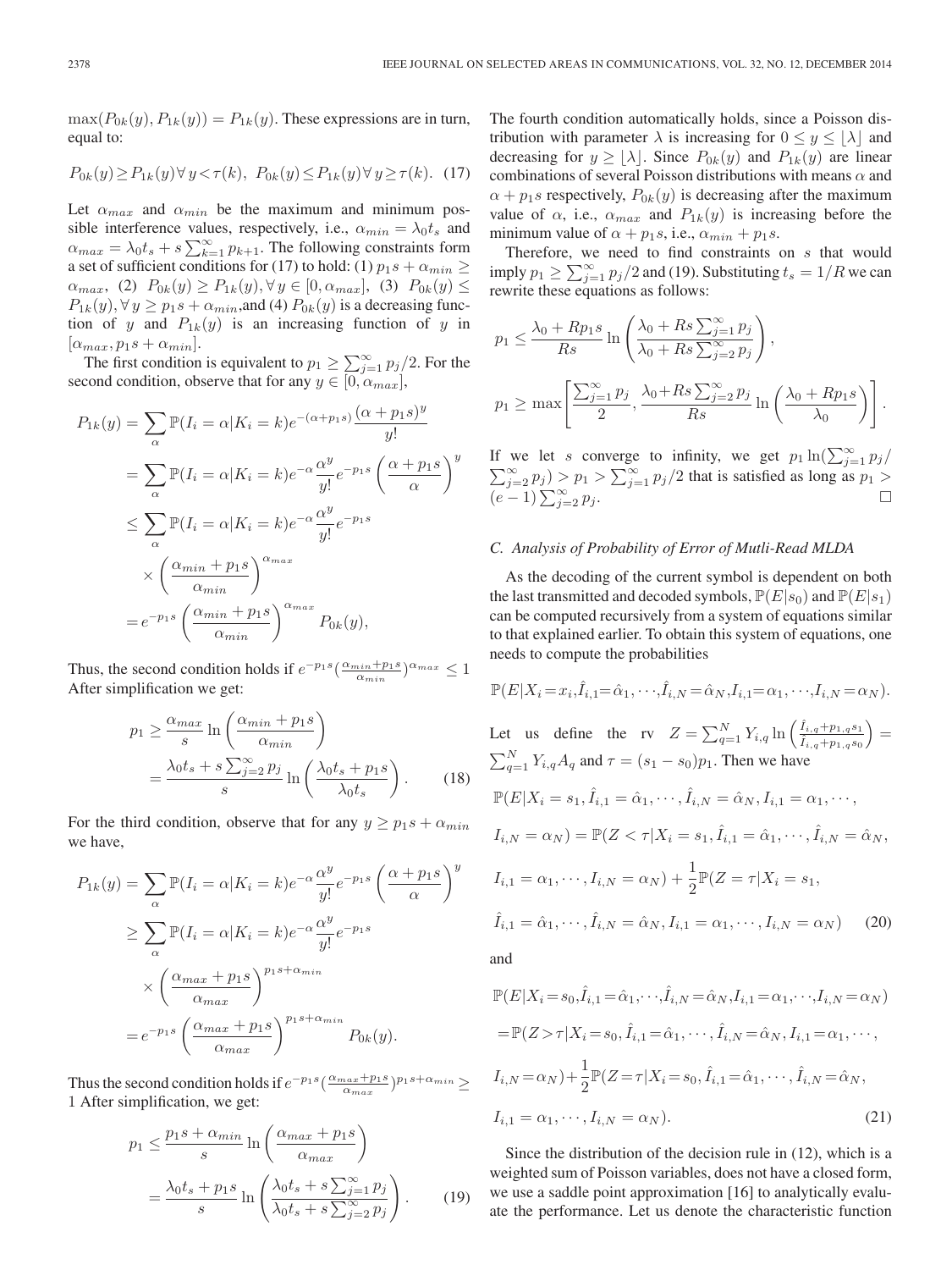$\max(P_{0k}(y), P_{1k}(y)) = P_{1k}(y)$ . These expressions are in turn, equal to:

$$
P_{0k}(y) \ge P_{1k}(y) \forall y < \tau(k), \ P_{0k}(y) \le P_{1k}(y) \forall y \ge \tau(k). \tag{17}
$$

Let  $\alpha_{max}$  and  $\alpha_{min}$  be the maximum and minimum possible interference values, respectively, i.e.,  $\alpha_{min} = \lambda_0 t_s$  and  $\alpha_{max} = \lambda_0 t_s + s \sum_{k=1}^{\infty} p_{k+1}$ . The following constraints form a set of sufficient conditions for (17) to hold: (1)  $p_1s + \alpha_{min} \ge$  $\alpha_{max}$ , (2)  $P_{0k}(y) \ge P_{1k}(y), \forall y \in [0, \alpha_{max}]$ , (3)  $P_{0k}(y) \le P_{0k}(y)$  $P_{1k}(y), \forall y \ge p_1s + \alpha_{min}$ , and (4)  $P_{0k}(y)$  is a decreasing function of y and  $P_{1k}(y)$  is an increasing function of y in  $[\alpha_{max}, p_1s + \alpha_{min}].$ 

The first condition is equivalent to  $p_1 \ge \sum_{j=1}^{\infty} p_j/2$ . For the second condition, observe that for any  $y \in [0, \alpha_{max}]$ ,

$$
P_{1k}(y) = \sum_{\alpha} \mathbb{P}(I_i = \alpha | K_i = k) e^{-(\alpha + p_1 s)} \frac{(\alpha + p_1 s)^y}{y!}
$$
  
\n
$$
= \sum_{\alpha} \mathbb{P}(I_i = \alpha | K_i = k) e^{-\alpha} \frac{\alpha^y}{y!} e^{-p_1 s} \left(\frac{\alpha + p_1 s}{\alpha}\right)^y
$$
  
\n
$$
\leq \sum_{\alpha} \mathbb{P}(I_i = \alpha | K_i = k) e^{-\alpha} \frac{\alpha^y}{y!} e^{-p_1 s}
$$
  
\n
$$
\times \left(\frac{\alpha_{min} + p_1 s}{\alpha_{min}}\right)^{\alpha_{max}}
$$
  
\n
$$
= e^{-p_1 s} \left(\frac{\alpha_{min} + p_1 s}{\alpha_{min}}\right)^{\alpha_{max}} P_{0k}(y),
$$

Thus, the second condition holds if  $e^{-p_1 s} \left( \frac{\alpha_{min} + p_1 s}{\alpha_{min}} \right)^{\alpha_{max}} \leq 1$ After simplification we get:

$$
p_1 \ge \frac{\alpha_{max}}{s} \ln \left( \frac{\alpha_{min} + p_1 s}{\alpha_{min}} \right)
$$
  
= 
$$
\frac{\lambda_0 t_s + s \sum_{j=2}^{\infty} p_j}{s} \ln \left( \frac{\lambda_0 t_s + p_1 s}{\lambda_0 t_s} \right).
$$
 (18)

For the third condition, observe that for any  $y \ge p_1 s + \alpha_{min}$ we have,

$$
P_{1k}(y) = \sum_{\alpha} \mathbb{P}(I_i = \alpha | K_i = k) e^{-\alpha} \frac{\alpha^y}{y!} e^{-p_1 s} \left(\frac{\alpha + p_1 s}{\alpha}\right)^y
$$
  
\n
$$
\geq \sum_{\alpha} \mathbb{P}(I_i = \alpha | K_i = k) e^{-\alpha} \frac{\alpha^y}{y!} e^{-p_1 s}
$$
  
\n
$$
\times \left(\frac{\alpha_{max} + p_1 s}{\alpha_{max}}\right)^{p_1 s + \alpha_{min}} = e^{-p_1 s} \left(\frac{\alpha_{max} + p_1 s}{\alpha_{max}}\right)^{p_1 s + \alpha_{min}} P_{0k}(y).
$$

Thus the second condition holds if  $e^{-p_1 s}(\frac{\alpha_{max}+p_1 s}{\alpha_{max}})^{p_1 s + \alpha_{min}} \ge$ 1 After simplification, we get:

$$
p_1 \le \frac{p_1 s + \alpha_{min}}{s} \ln\left(\frac{\alpha_{max} + p_1 s}{\alpha_{max}}\right)
$$
  
= 
$$
\frac{\lambda_0 t_s + p_1 s}{s} \ln\left(\frac{\lambda_0 t_s + s \sum_{j=1}^{\infty} p_j}{\lambda_0 t_s + s \sum_{j=2}^{\infty} p_j}\right).
$$
 (19)

The fourth condition automatically holds, since a Poisson distribution with parameter  $\lambda$  is increasing for  $0 \le y \le |\lambda|$  and decreasing for  $y \geq \lfloor \lambda \rfloor$ . Since  $P_{0k}(y)$  and  $P_{1k}(y)$  are linear combinations of several Poisson distributions with means  $\alpha$  and  $\alpha + p_1s$  respectively,  $P_{0k}(y)$  is decreasing after the maximum value of  $\alpha$ , i.e.,  $\alpha_{max}$  and  $P_{1k}(y)$  is increasing before the minimum value of  $\alpha + p_1s$ , i.e.,  $\alpha_{min} + p_1s$ .

Therefore, we need to find constraints on s that would imply  $p_1 \ge \sum_{j=1}^{\infty} p_j/2$  and (19). Substituting  $t_s = 1/R$  we can rewrite these equations as follows:

$$
p_1 \le \frac{\lambda_0 + Rp_1s}{Rs} \ln\left(\frac{\lambda_0 + Rs \sum_{j=1}^{\infty} p_j}{\lambda_0 + Rs \sum_{j=2}^{\infty} p_j}\right),
$$
  

$$
p_1 \ge \max\left[\frac{\sum_{j=1}^{\infty} p_j}{2}, \frac{\lambda_0 + Rs \sum_{j=2}^{\infty} p_j}{Rs} \ln\left(\frac{\lambda_0 + Rp_1s}{\lambda_0}\right)\right].
$$

If we let s converge to infinity, we get  $p_1 \ln(\sum_{j=1}^{\infty} p_j)$  $\sum_{j=2}^{\infty} p_j$  >  $p_1 > \sum_{j=1}^{\infty} p_j/2$  that is satisfied as long as  $p_1 >$  $(e-1)\sum_{j=2}^{\infty} p_j$ .

#### *C. Analysis of Probability of Error of Mutli-Read MLDA*

As the decoding of the current symbol is dependent on both the last transmitted and decoded symbols,  $\mathbb{P}(E|s_0)$  and  $\mathbb{P}(E|s_1)$ can be computed recursively from a system of equations similar to that explained earlier. To obtain this system of equations, one needs to compute the probabilities

$$
\mathbb{P}(E|X_i = x_i, \hat{I}_{i,1} = \hat{\alpha}_1, \dots, \hat{I}_{i,N} = \hat{\alpha}_N, I_{i,1} = \alpha_1, \dots, I_{i,N} = \alpha_N).
$$
  
Let us define the rv  $Z = \sum_{q=1}^N Y_{i,q} \ln\left(\frac{\hat{I}_{i,q} + p_{1,q} s_1}{\hat{I}_{i,q} + p_{1,q} s_0}\right) = \sum_{q=1}^N Y_{i,q} A_q$  and  $\tau = (s_1 - s_0)p_1$ . Then we have  

$$
\mathbb{P}(E|X_i = s_1, \hat{I}_{i,1} = \hat{\alpha}_1, \dots, \hat{I}_{i,N} = \hat{\alpha}_N, I_{i,1} = \alpha_1, \dots,
$$

$$
I_{i,N} = \alpha_N) = \mathbb{P}(Z < \tau | X_i = s_1, \hat{I}_{i,1} = \hat{\alpha}_1, \dots, \hat{I}_{i,N} = \hat{\alpha}_N,
$$

$$
I_{i,1} = \alpha_1, \dots, I_{i,N} = \alpha_N) + \frac{1}{2} \mathbb{P}(Z = \tau | X_i = s_1,
$$

$$
\hat{I}_{i,1} = \hat{\alpha}_1, \dots, \hat{I}_{i,N} = \hat{\alpha}_N, I_{i,1} = \alpha_1, \dots, I_{i,N} = \alpha_N) \tag{20}
$$
and

and

$$
\mathbb{P}(E|X_i = s_0, \hat{I}_{i,1} = \hat{\alpha}_1, \cdots, \hat{I}_{i,N} = \hat{\alpha}_N, I_{i,1} = \alpha_1, \cdots, I_{i,N} = \alpha_N)
$$
  
\n
$$
= \mathbb{P}(Z > \tau | X_i = s_0, \hat{I}_{i,1} = \hat{\alpha}_1, \cdots, \hat{I}_{i,N} = \hat{\alpha}_N, I_{i,1} = \alpha_1, \cdots,
$$
  
\n
$$
I_{i,N} = \alpha_N) + \frac{1}{2} \mathbb{P}(Z = \tau | X_i = s_0, \hat{I}_{i,1} = \hat{\alpha}_1, \cdots, \hat{I}_{i,N} = \hat{\alpha}_N,
$$
  
\n
$$
I_{i,1} = \alpha_1, \cdots, I_{i,N} = \alpha_N).
$$
\n(21)

Since the distribution of the decision rule in (12), which is a weighted sum of Poisson variables, does not have a closed form, we use a saddle point approximation [16] to analytically evaluate the performance. Let us denote the characteristic function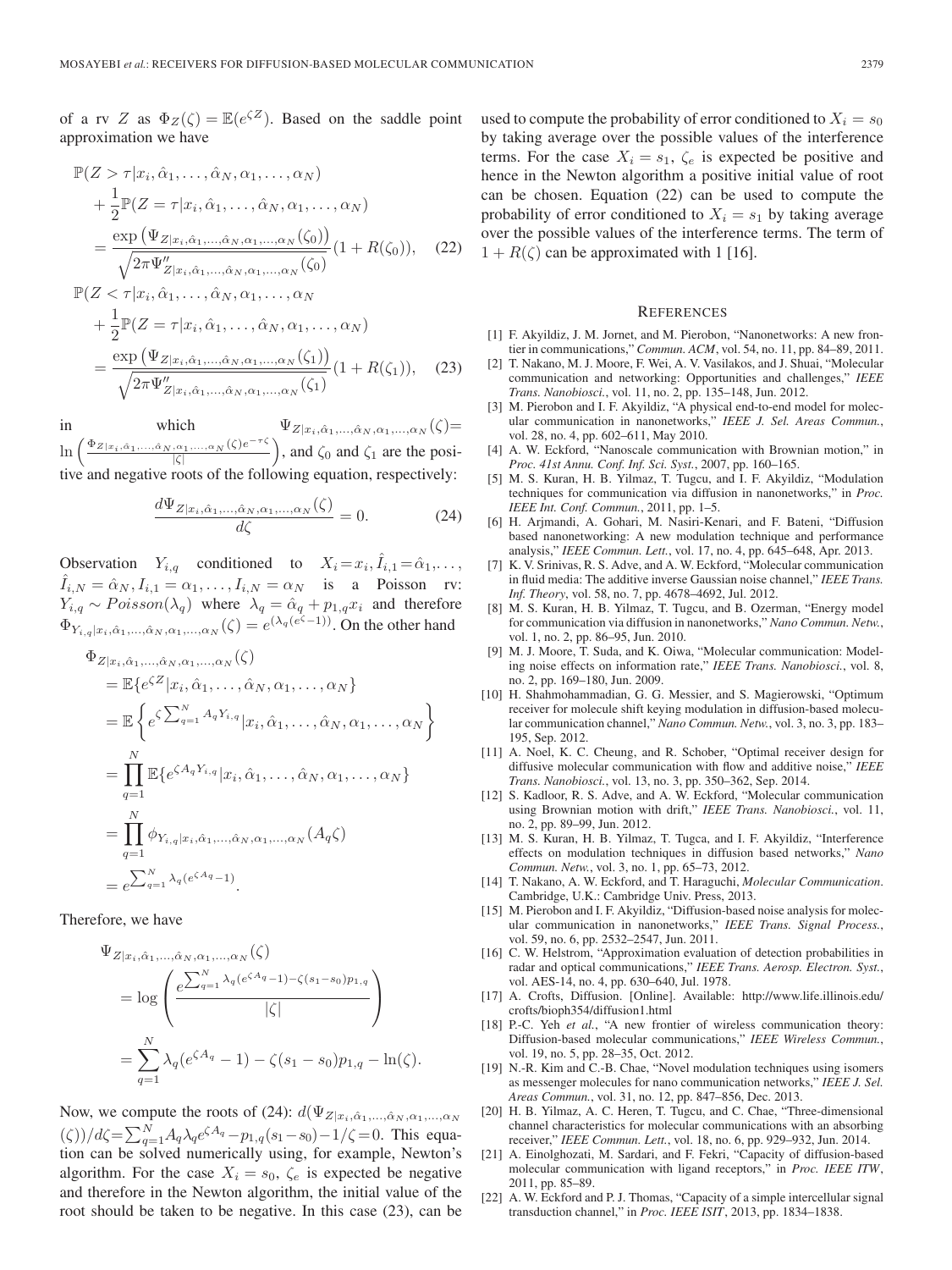of a rv Z as  $\Phi_Z(\zeta) = \mathbb{E}(e^{\zeta Z})$ . Based on the saddle point approximation we have

$$
\mathbb{P}(Z > \tau | x_i, \hat{\alpha}_1, \dots, \hat{\alpha}_N, \alpha_1, \dots, \alpha_N)
$$
\n
$$
+ \frac{1}{2} \mathbb{P}(Z = \tau | x_i, \hat{\alpha}_1, \dots, \hat{\alpha}_N, \alpha_1, \dots, \alpha_N)
$$
\n
$$
= \frac{\exp(\Psi_{Z | x_i, \hat{\alpha}_1, \dots, \hat{\alpha}_N, \alpha_1, \dots, \alpha_N}(\zeta_0))}{\sqrt{2\pi \Psi_{Z | x_i, \hat{\alpha}_1, \dots, \hat{\alpha}_N, \alpha_1, \dots, \alpha_N}(\zeta_0)} (1 + R(\zeta_0)), \quad (22)
$$
\n
$$
\mathbb{P}(Z < \tau | x_i, \hat{\alpha}_1, \dots, \hat{\alpha}_N, \alpha_1, \dots, \alpha_N)
$$
\n
$$
+ \frac{1}{2} \mathbb{P}(Z = \tau | x_i, \hat{\alpha}_1, \dots, \hat{\alpha}_N, \alpha_1, \dots, \alpha_N)
$$
\n
$$
= \frac{\exp(\Psi_{Z | x_i, \hat{\alpha}_1, \dots, \hat{\alpha}_N, \alpha_1, \dots, \alpha_N}(\zeta_1))}{\sqrt{2\pi \Psi_{Z | x_i, \hat{\alpha}_1, \dots, \hat{\alpha}_N, \alpha_1, \dots, \alpha_N}(\zeta_1)} (1 + R(\zeta_1)), \quad (23)
$$

in which  $\Psi_{Z|x_i,\hat{\alpha}_1,...,\hat{\alpha}_N,\alpha_1,...,\alpha_N}(\zeta) =$  $\ln \left( \right.$  $\left(\frac{\Phi_{Z|x_i,\hat{\alpha}_1,...,\hat{\alpha}_N,\alpha_1,...,\alpha_N}(\zeta)e^{-\tau\zeta}}{|\zeta|}\right)$ , and  $\zeta_0$  and  $\zeta_1$  are the positive and negative roots of the following equation, respectively:

$$
\frac{d\Psi_{Z|x_i,\hat{\alpha}_1,\dots,\hat{\alpha}_N,\alpha_1,\dots,\alpha_N}(\zeta)}{d\zeta} = 0.
$$
 (24)

Observation  $Y_{i,q}$  conditioned to  $X_i = x_i, \hat{I}_{i,1} = \hat{\alpha}_1, \dots,$  $\hat{I}_{i,N} = \hat{\alpha}_N, I_{i,1} = \alpha_1, \dots, I_{i,N} = \alpha_N$  is a Poisson rv:  $Y_{i,q} \sim Poisson(\lambda_q)$  where  $\lambda_q = \hat{\alpha}_q + p_{1,q}x_i$  and therefore  $\Phi_{Y_{i,q}|x_i,\hat{\alpha}_1,\dots,\hat{\alpha}_N,\alpha_1,\dots,\alpha_N}(\zeta) = e^{(\lambda_q(e^{\zeta}-1))}$ . On the other hand

$$
\Phi_{Z|x_i, \hat{\alpha}_1, \dots, \hat{\alpha}_N, \alpha_1, \dots, \alpha_N}(\zeta)
$$
\n
$$
= \mathbb{E}\left\{e^{\zeta Z}|x_i, \hat{\alpha}_1, \dots, \hat{\alpha}_N, \alpha_1, \dots, \alpha_N\right\}
$$
\n
$$
= \mathbb{E}\left\{e^{\zeta \sum_{q=1}^N A_q Y_{i,q}}|x_i, \hat{\alpha}_1, \dots, \hat{\alpha}_N, \alpha_1, \dots, \alpha_N\right\}
$$
\n
$$
= \prod_{q=1}^N \mathbb{E}\left\{e^{\zeta A_q Y_{i,q}}|x_i, \hat{\alpha}_1, \dots, \hat{\alpha}_N, \alpha_1, \dots, \alpha_N\right\}
$$
\n
$$
= \prod_{q=1}^N \phi_{Y_{i,q}|x_i, \hat{\alpha}_1, \dots, \hat{\alpha}_N, \alpha_1, \dots, \alpha_N}(A_q \zeta)
$$
\n
$$
= e^{\sum_{q=1}^N \lambda_q(e^{\zeta A_q} - 1)}.
$$

Therefore, we have

$$
\Psi_{Z|x_i, \hat{\alpha}_1, ..., \hat{\alpha}_N, \alpha_1, ..., \alpha_N}(\zeta)
$$
\n
$$
= \log \left( \frac{e^{\sum_{q=1}^N \lambda_q (e^{\zeta A_q} - 1) - \zeta (s_1 - s_0) p_{1,q}}}{|\zeta|} \right)
$$
\n
$$
= \sum_{q=1}^N \lambda_q (e^{\zeta A_q} - 1) - \zeta (s_1 - s_0) p_{1,q} - \ln(\zeta).
$$

Now, we compute the roots of (24):  $d(\Psi_{Z|x_i,\hat{\alpha}_1,...,\hat{\alpha}_N,\alpha_1,...,\alpha_N)}$  $(\zeta) / d\zeta = \sum_{q=1}^{N} A_q \lambda_q e^{\zeta A_q} - p_{1,q}(s_1 - s_0) - 1/\zeta = 0$ . This equation can be solved numerically using, for example, Newton's algorithm. For the case  $X_i = s_0$ ,  $\zeta_e$  is expected be negative and therefore in the Newton algorithm, the initial value of the root should be taken to be negative. In this case (23), can be used to compute the probability of error conditioned to  $X_i = s_0$ by taking average over the possible values of the interference terms. For the case  $X_i = s_1$ ,  $\zeta_e$  is expected be positive and hence in the Newton algorithm a positive initial value of root can be chosen. Equation (22) can be used to compute the probability of error conditioned to  $X_i = s_1$  by taking average over the possible values of the interference terms. The term of  $1 + R(\zeta)$  can be approximated with 1 [16].

#### **REFERENCES**

- [1] F. Akyildiz, J. M. Jornet, and M. Pierobon, "Nanonetworks: A new frontier in communications," *Commun. ACM*, vol. 54, no. 11, pp. 84–89, 2011.
- [2] T. Nakano, M. J. Moore, F. Wei, A. V. Vasilakos, and J. Shuai, "Molecular communication and networking: Opportunities and challenges," *IEEE Trans. Nanobiosci.*, vol. 11, no. 2, pp. 135–148, Jun. 2012.
- [3] M. Pierobon and I. F. Akyildiz, "A physical end-to-end model for molecular communication in nanonetworks," *IEEE J. Sel. Areas Commun.*, vol. 28, no. 4, pp. 602–611, May 2010.
- [4] A. W. Eckford, "Nanoscale communication with Brownian motion," in *Proc. 41st Annu. Conf. Inf. Sci. Syst.*, 2007, pp. 160–165.
- [5] M. S. Kuran, H. B. Yilmaz, T. Tugcu, and I. F. Akyildiz, "Modulation techniques for communication via diffusion in nanonetworks," in *Proc. IEEE Int. Conf. Commun.*, 2011, pp. 1–5.
- [6] H. Arjmandi, A. Gohari, M. Nasiri-Kenari, and F. Bateni, "Diffusion based nanonetworking: A new modulation technique and performance analysis," *IEEE Commun. Lett.*, vol. 17, no. 4, pp. 645–648, Apr. 2013.
- [7] K. V. Srinivas, R. S. Adve, and A. W. Eckford, "Molecular communication in fluid media: The additive inverse Gaussian noise channel," *IEEE Trans. Inf. Theory*, vol. 58, no. 7, pp. 4678–4692, Jul. 2012.
- [8] M. S. Kuran, H. B. Yilmaz, T. Tugcu, and B. Ozerman, "Energy model for communication via diffusion in nanonetworks," *Nano Commun. Netw.*, vol. 1, no. 2, pp. 86–95, Jun. 2010.
- [9] M. J. Moore, T. Suda, and K. Oiwa, "Molecular communication: Modeling noise effects on information rate," *IEEE Trans. Nanobiosci.*, vol. 8, no. 2, pp. 169–180, Jun. 2009.
- [10] H. Shahmohammadian, G. G. Messier, and S. Magierowski, "Optimum receiver for molecule shift keying modulation in diffusion-based molecular communication channel," *Nano Commun. Netw.*, vol. 3, no. 3, pp. 183– 195, Sep. 2012.
- [11] A. Noel, K. C. Cheung, and R. Schober, "Optimal receiver design for diffusive molecular communication with flow and additive noise," *IEEE Trans. Nanobiosci.*, vol. 13, no. 3, pp. 350–362, Sep. 2014.
- [12] S. Kadloor, R. S. Adve, and A. W. Eckford, "Molecular communication using Brownian motion with drift," *IEEE Trans. Nanobiosci.*, vol. 11, no. 2, pp. 89–99, Jun. 2012.
- [13] M. S. Kuran, H. B. Yilmaz, T. Tugca, and I. F. Akyildiz, "Interference effects on modulation techniques in diffusion based networks," *Nano Commun. Netw.*, vol. 3, no. 1, pp. 65–73, 2012.
- [14] T. Nakano, A. W. Eckford, and T. Haraguchi, *Molecular Communication*. Cambridge, U.K.: Cambridge Univ. Press, 2013.
- [15] M. Pierobon and I. F. Akyildiz, "Diffusion-based noise analysis for molecular communication in nanonetworks," *IEEE Trans. Signal Process.*, vol. 59, no. 6, pp. 2532–2547, Jun. 2011.
- [16] C. W. Helstrom, "Approximation evaluation of detection probabilities in radar and optical communications," *IEEE Trans. Aerosp. Electron. Syst.*, vol. AES-14, no. 4, pp. 630–640, Jul. 1978.
- [17] A. Crofts, Diffusion. [Online]. Available: http://www.life.illinois.edu/ crofts/bioph354/diffusion1.html
- [18] P.-C. Yeh *et al.*, "A new frontier of wireless communication theory: Diffusion-based molecular communications," *IEEE Wireless Commun.*, vol. 19, no. 5, pp. 28–35, Oct. 2012.
- [19] N.-R. Kim and C.-B. Chae, "Novel modulation techniques using isomers as messenger molecules for nano communication networks," *IEEE J. Sel. Areas Commun.*, vol. 31, no. 12, pp. 847–856, Dec. 2013.
- [20] H. B. Yilmaz, A. C. Heren, T. Tugcu, and C. Chae, "Three-dimensional channel characteristics for molecular communications with an absorbing receiver," *IEEE Commun. Lett.*, vol. 18, no. 6, pp. 929–932, Jun. 2014.
- [21] A. Einolghozati, M. Sardari, and F. Fekri, "Capacity of diffusion-based molecular communication with ligand receptors," in *Proc. IEEE ITW*, 2011, pp. 85–89.
- [22] A. W. Eckford and P. J. Thomas, "Capacity of a simple intercellular signal transduction channel," in *Proc. IEEE ISIT*, 2013, pp. 1834–1838.